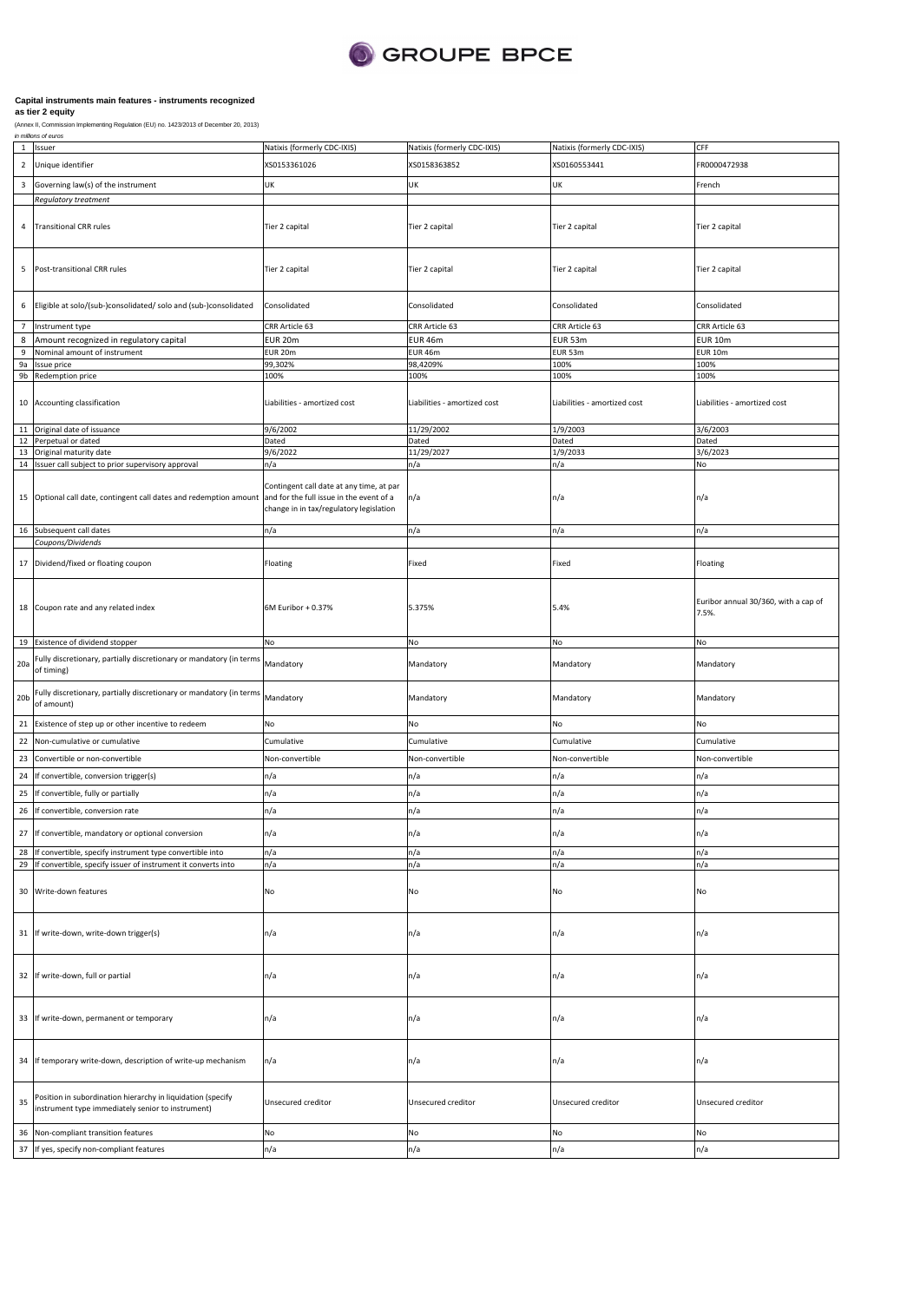

| $\mathbf 1$             | Issuer                                                                                                                  | Natixis (formerly CDC-IXIS)                                                                                                     | Natixis (formerly CDC-IXIS)  | Natixis (formerly CDC-IXIS)  | CFF                                           |
|-------------------------|-------------------------------------------------------------------------------------------------------------------------|---------------------------------------------------------------------------------------------------------------------------------|------------------------------|------------------------------|-----------------------------------------------|
| $\overline{2}$          | Unique identifier                                                                                                       | XS0153361026                                                                                                                    | XS0158363852                 | XS0160553441                 | FR0000472938                                  |
| $\overline{\mathbf{3}}$ | Governing law(s) of the instrument                                                                                      | UK                                                                                                                              | UK                           | UK                           | French                                        |
|                         | <b>Regulatory treatment</b>                                                                                             |                                                                                                                                 |                              |                              |                                               |
| 4                       | <b>Transitional CRR rules</b>                                                                                           | Tier 2 capital                                                                                                                  | Tier 2 capital               | Tier 2 capital               | Tier 2 capital                                |
| 5                       | Post-transitional CRR rules                                                                                             | Tier 2 capital                                                                                                                  | Tier 2 capital               | Tier 2 capital               | Tier 2 capital                                |
| 6                       | Eligible at solo/(sub-)consolidated/ solo and (sub-)consolidated                                                        | Consolidated                                                                                                                    | Consolidated                 | Consolidated                 | Consolidated                                  |
| $\overline{7}$          | Instrument type                                                                                                         | CRR Article 63                                                                                                                  | CRR Article 63               | CRR Article 63               | CRR Article 63                                |
| 8                       | Amount recognized in regulatory capital                                                                                 | EUR 20m                                                                                                                         | EUR 46m                      | <b>EUR 53m</b>               | <b>EUR 10m</b>                                |
| 9<br>9a                 | Nominal amount of instrument                                                                                            | <b>EUR 20m</b><br>99,302%                                                                                                       | EUR 46m<br>98,4209%          | EUR 53m<br>100%              | <b>EUR 10m</b><br>100%                        |
| 9b                      | Issue price<br>Redemption price                                                                                         | 100%                                                                                                                            | 100%                         | 100%                         | 100%                                          |
|                         | 10 Accounting classification                                                                                            | Liabilities - amortized cost                                                                                                    | Liabilities - amortized cost | Liabilities - amortized cost | Liabilities - amortized cost                  |
| 11                      | Original date of issuance                                                                                               | 9/6/2002                                                                                                                        | 11/29/2002                   | 1/9/2003                     | 3/6/2003                                      |
|                         | 12 Perpetual or dated                                                                                                   | Dated                                                                                                                           | Dated                        | Dated                        | Dated                                         |
| 13                      | Original maturity date                                                                                                  | 9/6/2022                                                                                                                        | 11/29/2027                   | 1/9/2033                     | 3/6/2023                                      |
|                         | 14 Issuer call subject to prior supervisory approval                                                                    | n/a                                                                                                                             | n/a                          | n/a                          | No                                            |
|                         | 15 Optional call date, contingent call dates and redemption amount                                                      | Contingent call date at any time, at par<br>and for the full issue in the event of a<br>change in in tax/regulatory legislation | n/a                          | n/a                          | n/a                                           |
|                         | 16 Subsequent call dates                                                                                                | n/a                                                                                                                             | n/a                          | n/a                          | n/a                                           |
|                         | Coupons/Dividends                                                                                                       |                                                                                                                                 |                              |                              |                                               |
|                         | 17 Dividend/fixed or floating coupon                                                                                    | Floating                                                                                                                        | Fixed                        | Fixed                        | Floating                                      |
|                         | 18 Coupon rate and any related index                                                                                    | 6M Euribor + 0.37%                                                                                                              | 5.375%                       | 5.4%                         | Euribor annual 30/360, with a cap of<br>7.5%. |
|                         | 19 Existence of dividend stopper                                                                                        | No                                                                                                                              | No                           | No                           | No                                            |
| 20a                     | Fully discretionary, partially discretionary or mandatory (in terms<br>of timing)                                       | Mandatory                                                                                                                       | Mandatory                    | Mandatory                    | Mandatory                                     |
| 20 <sub>b</sub>         | Fully discretionary, partially discretionary or mandatory (in terms<br>of amount)                                       | Mandatory                                                                                                                       | Mandatory                    | Mandatory                    | Mandatory                                     |
|                         | 21 Existence of step up or other incentive to redeem                                                                    | No                                                                                                                              | No                           | No                           | No                                            |
| 22                      | Non-cumulative or cumulative                                                                                            | Cumulative                                                                                                                      | Cumulative                   | Cumulative                   | Cumulative                                    |
| 23                      | Convertible or non-convertible                                                                                          | Non-convertible                                                                                                                 | Non-convertible              | Non-convertible              | Non-convertible                               |
| 24                      | If convertible, conversion trigger(s)                                                                                   | n/a                                                                                                                             | n/a                          | n/a                          | n/a                                           |
|                         |                                                                                                                         |                                                                                                                                 |                              |                              |                                               |
| 25                      | f convertible, fully or partially                                                                                       | n/a                                                                                                                             | n/a                          | n/a                          | n/a                                           |
| 26                      | If convertible, conversion rate                                                                                         | n/a                                                                                                                             | n/a                          | n/a                          | n/a                                           |
|                         | 27 If convertible, mandatory or optional conversion                                                                     | ٦/a                                                                                                                             | n/a                          | ı/a                          | ה/ו                                           |
| 28<br>29                | f convertible, specify instrument type convertible into<br>f convertible, specify issuer of instrument it converts into | n/a<br>n/a                                                                                                                      | n/a<br>n/a                   | n/a<br>n/a                   | n/a<br>n/a                                    |
|                         | 30 Write-down features                                                                                                  | No                                                                                                                              | No                           | No                           | No                                            |
|                         | 31 If write-down, write-down trigger(s)                                                                                 | n/a                                                                                                                             | n/a                          | n/a                          | n/a                                           |
|                         | 32 If write-down, full or partial                                                                                       | n/a                                                                                                                             | n/a                          | n/a                          | n/a                                           |
|                         | 33 If write-down, permanent or temporary                                                                                | n/a                                                                                                                             | n/a                          | n/a                          | n/a                                           |
|                         | 34 If temporary write-down, description of write-up mechanism                                                           | n/a                                                                                                                             | n/a                          | n/a                          | n/a                                           |
| 35                      | Position in subordination hierarchy in liquidation (specify<br>instrument type immediately senior to instrument)        | Unsecured creditor                                                                                                              | Unsecured creditor           | Unsecured creditor           | Unsecured creditor                            |
| 36                      | Non-compliant transition features                                                                                       | No                                                                                                                              | No                           | No                           | No                                            |
| 37                      | If yes, specify non-compliant features                                                                                  | n/a                                                                                                                             | n/a                          | n/a                          | n/a                                           |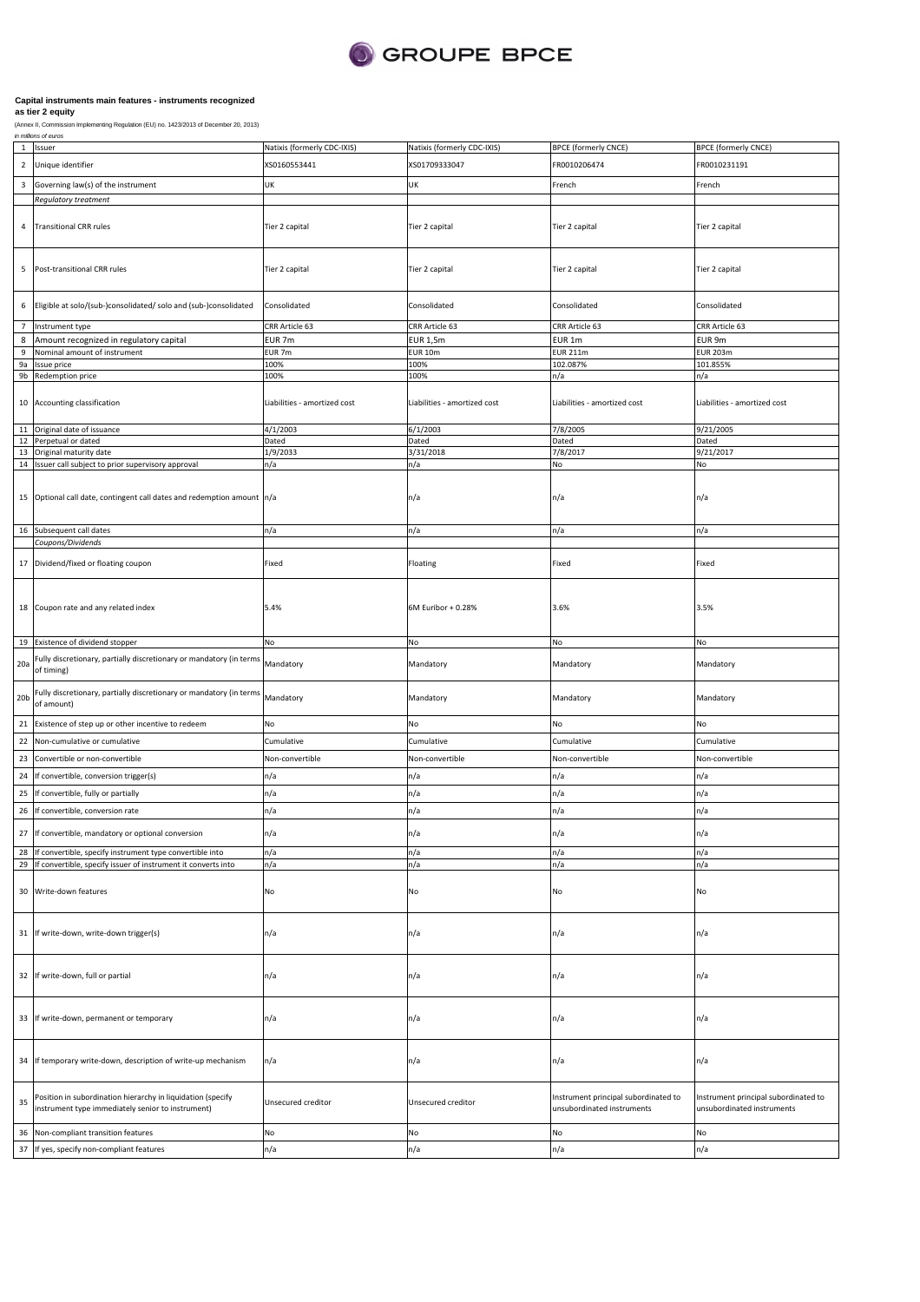

| $\mathbf{1}$            | Issuer                                                                                                                    | Natixis (formerly CDC-IXIS)  | Natixis (formerly CDC-IXIS)  | <b>BPCE (formerly CNCE)</b>                                        | <b>BPCE (formerly CNCE)</b>                                        |
|-------------------------|---------------------------------------------------------------------------------------------------------------------------|------------------------------|------------------------------|--------------------------------------------------------------------|--------------------------------------------------------------------|
| $\overline{2}$          | Unique identifier                                                                                                         | XS0160553441                 | XS01709333047                | FR0010206474                                                       | FR0010231191                                                       |
| $\overline{\mathbf{3}}$ | Governing law(s) of the instrument                                                                                        | UK                           | UK                           |                                                                    | French                                                             |
|                         | Regulatory treatment                                                                                                      |                              |                              | French                                                             |                                                                    |
|                         |                                                                                                                           |                              |                              |                                                                    |                                                                    |
| 4                       | <b>Transitional CRR rules</b>                                                                                             | Tier 2 capital               | Tier 2 capital               | Tier 2 capital                                                     | Tier 2 capital                                                     |
|                         |                                                                                                                           |                              |                              |                                                                    |                                                                    |
|                         |                                                                                                                           |                              |                              |                                                                    |                                                                    |
| 5                       | Post-transitional CRR rules                                                                                               | Tier 2 capital               | Tier 2 capital               | Tier 2 capital                                                     | Tier 2 capital                                                     |
|                         |                                                                                                                           |                              |                              |                                                                    |                                                                    |
| 6                       | Eligible at solo/(sub-)consolidated/ solo and (sub-)consolidated                                                          | Consolidated                 | Consolidated                 | Consolidated                                                       | Consolidated                                                       |
| $7\overline{ }$         | Instrument type                                                                                                           | CRR Article 63               | CRR Article 63               | CRR Article 63                                                     | CRR Article 63                                                     |
| $\bf 8$                 | Amount recognized in regulatory capital                                                                                   | EUR 7m                       | <b>EUR 1,5m</b>              | EUR 1m                                                             | EUR 9m                                                             |
| 9                       | Nominal amount of instrument                                                                                              | EUR 7m                       | <b>EUR 10m</b>               | <b>EUR 211m</b>                                                    | <b>EUR 203m</b>                                                    |
| 9a                      | Issue price                                                                                                               | 100%                         | 100%                         | 102.087%                                                           | 101.855%                                                           |
| 9b                      | Redemption price                                                                                                          | 100%                         | 100%                         | n/a                                                                | n/a                                                                |
| 10                      | Accounting classification                                                                                                 | Liabilities - amortized cost | Liabilities - amortized cost | Liabilities - amortized cost                                       | Liabilities - amortized cost                                       |
|                         |                                                                                                                           |                              |                              |                                                                    |                                                                    |
|                         | 11 Original date of issuance                                                                                              | 4/1/2003                     | 6/1/2003                     | 7/8/2005                                                           | 9/21/2005                                                          |
| 12                      | Perpetual or dated                                                                                                        | Dated                        | Dated                        | Dated                                                              | Dated                                                              |
|                         | 13 Original maturity date                                                                                                 | 1/9/2033                     | 3/31/2018                    | 7/8/2017                                                           | 9/21/2017                                                          |
| 14                      | Issuer call subject to prior supervisory approval                                                                         | n/a                          | n/a                          | No                                                                 | No                                                                 |
|                         |                                                                                                                           |                              |                              |                                                                    |                                                                    |
|                         | 15 Optional call date, contingent call dates and redemption amount n/a                                                    |                              | n/a                          | n/a                                                                | n/a                                                                |
|                         |                                                                                                                           |                              |                              |                                                                    |                                                                    |
|                         | 16 Subsequent call dates                                                                                                  | n/a                          | n/a                          | n/a                                                                | n/a                                                                |
|                         | Coupons/Dividends                                                                                                         |                              |                              |                                                                    |                                                                    |
| 17                      | Dividend/fixed or floating coupon                                                                                         | Fixed                        | Floating                     | Fixed                                                              | Fixed                                                              |
|                         |                                                                                                                           |                              |                              |                                                                    |                                                                    |
|                         |                                                                                                                           |                              |                              |                                                                    |                                                                    |
|                         | 18 Coupon rate and any related index                                                                                      | 5.4%                         | 6M Euribor + 0.28%           | 3.6%                                                               | 3.5%                                                               |
|                         |                                                                                                                           |                              |                              |                                                                    |                                                                    |
| 19                      | Existence of dividend stopper                                                                                             | No                           | No                           | No                                                                 | No                                                                 |
|                         | Fully discretionary, partially discretionary or mandatory (in terms                                                       |                              |                              |                                                                    |                                                                    |
| 20a                     | of timing)                                                                                                                | Mandatory                    | Mandatory                    | Mandatory                                                          | Mandatory                                                          |
|                         |                                                                                                                           |                              |                              |                                                                    |                                                                    |
| 20 <sub>b</sub>         | Fully discretionary, partially discretionary or mandatory (in terms<br>of amount)                                         | Mandatory                    | Mandatory                    | Mandatory                                                          | Mandatory                                                          |
|                         |                                                                                                                           |                              |                              |                                                                    |                                                                    |
| 21                      | Existence of step up or other incentive to redeem                                                                         | No                           | No                           | No                                                                 | No                                                                 |
| 22                      | Non-cumulative or cumulative                                                                                              | Cumulative                   | Cumulative                   | Cumulative                                                         | Cumulative                                                         |
| 23                      | Convertible or non-convertible                                                                                            | Non-convertible              | Non-convertible              | Non-convertible                                                    | Non-convertible                                                    |
| 24                      | If convertible, conversion trigger(s)                                                                                     | n/a                          | n/a                          | n/a                                                                | n/a                                                                |
| 25                      | If convertible, fully or partially                                                                                        | n/a                          | n/a                          | n/a                                                                | n/a                                                                |
| 26                      | If convertible, conversion rate                                                                                           | n/a                          | n/a                          | n/a                                                                | n/a                                                                |
| 27                      | If convertible, mandatory or optional conversion                                                                          | n/a                          | n/a                          | n/a                                                                | n/a                                                                |
|                         |                                                                                                                           |                              |                              |                                                                    |                                                                    |
| 28<br>29                | If convertible, specify instrument type convertible into<br>If convertible, specify issuer of instrument it converts into | n/a<br>n/a                   | n/a<br>n/a                   | n/a<br>n/a                                                         | n/a<br>n/a                                                         |
|                         |                                                                                                                           |                              |                              |                                                                    |                                                                    |
|                         | 30 Write-down features                                                                                                    | No                           | No                           | No                                                                 | No                                                                 |
|                         |                                                                                                                           |                              |                              |                                                                    |                                                                    |
|                         |                                                                                                                           |                              |                              |                                                                    |                                                                    |
|                         | 31 If write-down, write-down trigger(s)                                                                                   | n/a                          | n/a                          | n/a                                                                | n/a                                                                |
|                         |                                                                                                                           |                              |                              |                                                                    |                                                                    |
|                         |                                                                                                                           |                              |                              |                                                                    |                                                                    |
| 32                      | If write-down, full or partial                                                                                            | n/a                          | n/a                          | n/a                                                                | n/a                                                                |
|                         |                                                                                                                           |                              |                              |                                                                    |                                                                    |
| 33                      | If write-down, permanent or temporary                                                                                     | n/a                          | n/a                          | n/a                                                                | n/a                                                                |
|                         |                                                                                                                           |                              |                              |                                                                    |                                                                    |
|                         |                                                                                                                           |                              |                              |                                                                    |                                                                    |
| 34                      | If temporary write-down, description of write-up mechanism                                                                | n/a                          | n/a                          | n/a                                                                | n/a                                                                |
|                         |                                                                                                                           |                              |                              |                                                                    |                                                                    |
|                         |                                                                                                                           |                              |                              |                                                                    |                                                                    |
| 35                      | Position in subordination hierarchy in liquidation (specify<br>instrument type immediately senior to instrument)          | Unsecured creditor           | Unsecured creditor           | Instrument principal subordinated to<br>unsubordinated instruments | Instrument principal subordinated to<br>unsubordinated instruments |
|                         |                                                                                                                           |                              |                              |                                                                    |                                                                    |
| 36                      | Non-compliant transition features                                                                                         | No                           | No                           | No                                                                 | No                                                                 |
| 37                      | If yes, specify non-compliant features                                                                                    | n/a                          | n/a                          | n/a                                                                | n/a                                                                |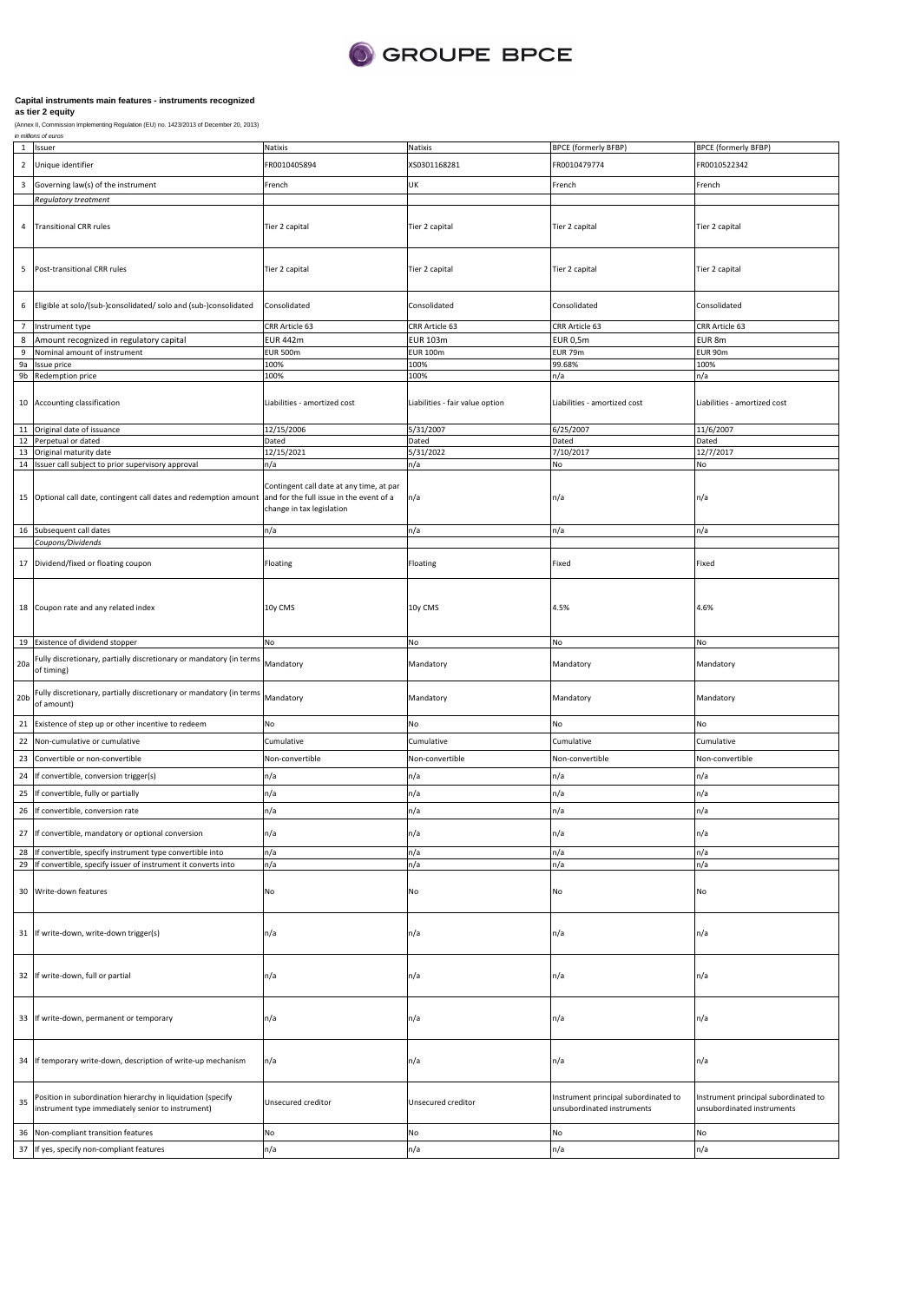

|                         | in millions of euros                                                |                                          |                                 |                                      |                                      |
|-------------------------|---------------------------------------------------------------------|------------------------------------------|---------------------------------|--------------------------------------|--------------------------------------|
| $\mathbf{1}$            | Issuer                                                              | Natixis                                  | Natixis                         | <b>BPCE (formerly BFBP)</b>          | <b>BPCE (formerly BFBP)</b>          |
| $\sqrt{2}$              | Unique identifier                                                   | FR0010405894                             | XS0301168281                    | FR0010479774                         | FR0010522342                         |
|                         |                                                                     |                                          |                                 |                                      |                                      |
| $\overline{\mathbf{3}}$ | Governing law(s) of the instrument                                  | French                                   | UK                              | French                               | French                               |
|                         | Regulatory treatment                                                |                                          |                                 |                                      |                                      |
|                         |                                                                     |                                          |                                 |                                      |                                      |
| 4                       | <b>Transitional CRR rules</b>                                       | Tier 2 capital                           | Tier 2 capital                  | Tier 2 capital                       | Tier 2 capital                       |
|                         |                                                                     |                                          |                                 |                                      |                                      |
|                         |                                                                     |                                          |                                 |                                      |                                      |
|                         |                                                                     |                                          |                                 |                                      |                                      |
| 5                       | Post-transitional CRR rules                                         | Tier 2 capital                           | Tier 2 capital                  | Tier 2 capital                       | Tier 2 capital                       |
|                         |                                                                     |                                          |                                 |                                      |                                      |
|                         |                                                                     |                                          |                                 |                                      |                                      |
| 6                       | Eligible at solo/(sub-)consolidated/ solo and (sub-)consolidated    | Consolidated                             | Consolidated                    | Consolidated                         | Consolidated                         |
|                         |                                                                     |                                          |                                 |                                      |                                      |
| $7\overline{ }$         | Instrument type                                                     | CRR Article 63                           | CRR Article 63                  | CRR Article 63                       | CRR Article 63                       |
| 8                       | Amount recognized in regulatory capital                             | <b>EUR 442m</b>                          | <b>EUR 103m</b>                 | <b>EUR 0,5m</b>                      | EUR 8m                               |
| $\boldsymbol{9}$        | Nominal amount of instrument                                        | <b>EUR 500m</b>                          | <b>EUR 100m</b>                 | EUR 79m                              | EUR 90m                              |
| 9a                      | Issue price                                                         | 100%                                     | 100%                            | 99.68%                               | 100%                                 |
| 9b                      | Redemption price                                                    | 100%                                     | 100%                            | n/a                                  | n/a                                  |
|                         |                                                                     |                                          |                                 |                                      |                                      |
|                         |                                                                     |                                          |                                 |                                      |                                      |
| 10                      | Accounting classification                                           | Liabilities - amortized cost             | Liabilities - fair value option | Liabilities - amortized cost         | Liabilities - amortized cost         |
|                         |                                                                     |                                          |                                 |                                      |                                      |
| 11                      | Original date of issuance                                           | 12/15/2006                               | 5/31/2007                       | 6/25/2007                            | 11/6/2007                            |
| 12                      | Perpetual or dated                                                  | Dated                                    | Dated                           | Dated                                | Dated                                |
| 13                      | Original maturity date                                              | 12/15/2021                               | 5/31/2022                       | 7/10/2017                            | 12/7/2017                            |
|                         | 14 Issuer call subject to prior supervisory approval                | n/a                                      | n/a                             | No                                   | No                                   |
|                         |                                                                     |                                          |                                 |                                      |                                      |
|                         |                                                                     | Contingent call date at any time, at par |                                 |                                      |                                      |
|                         | 15 Optional call date, contingent call dates and redemption amount  | and for the full issue in the event of a | n/a                             | n/a                                  | n/a                                  |
|                         |                                                                     | change in tax legislation                |                                 |                                      |                                      |
|                         |                                                                     |                                          |                                 |                                      |                                      |
|                         | 16 Subsequent call dates                                            | n/a                                      | n/a                             | n/a                                  | n/a                                  |
|                         | Coupons/Dividends                                                   |                                          |                                 |                                      |                                      |
|                         |                                                                     |                                          |                                 |                                      |                                      |
| 17                      | Dividend/fixed or floating coupon                                   | Floating                                 | Floating                        | Fixed                                | Fixed                                |
|                         |                                                                     |                                          |                                 |                                      |                                      |
|                         |                                                                     |                                          |                                 |                                      |                                      |
|                         |                                                                     |                                          |                                 |                                      |                                      |
|                         | 18 Coupon rate and any related index                                | 10y CMS                                  | 10y CMS                         | 4.5%                                 | 4.6%                                 |
|                         |                                                                     |                                          |                                 |                                      |                                      |
|                         |                                                                     |                                          |                                 |                                      |                                      |
| 19                      | Existence of dividend stopper                                       | No                                       | No                              | No                                   | No                                   |
|                         | Fully discretionary, partially discretionary or mandatory (in terms |                                          |                                 |                                      |                                      |
| 20a                     | of timing)                                                          | Mandatory                                | Mandatory                       | Mandatory                            | Mandatory                            |
|                         |                                                                     |                                          |                                 |                                      |                                      |
|                         | Fully discretionary, partially discretionary or mandatory (in terms |                                          |                                 |                                      |                                      |
| 20 <sub>b</sub>         | of amount)                                                          | Mandatory                                | Mandatory                       | Mandatory                            | Mandatory                            |
|                         |                                                                     |                                          |                                 |                                      |                                      |
| 21                      | Existence of step up or other incentive to redeem                   | No                                       | No                              | No                                   | No                                   |
| 22                      |                                                                     | Cumulative                               |                                 | Cumulative                           |                                      |
|                         | Non-cumulative or cumulative                                        |                                          | Cumulative                      |                                      | Cumulative                           |
| 23                      | Convertible or non-convertible                                      | Non-convertible                          | Non-convertible                 | Non-convertible                      | Non-convertible                      |
|                         |                                                                     |                                          |                                 |                                      |                                      |
| 24                      | If convertible, conversion trigger(s)                               | n/a                                      | n/a                             | n/a                                  | n/a                                  |
| 25                      | If convertible, fully or partially                                  | n/a                                      | n/a                             | n/a                                  | n/a                                  |
|                         | If convertible, conversion rate                                     |                                          |                                 |                                      |                                      |
| 26                      |                                                                     | n/a                                      | n/a                             | n/a                                  | n/a                                  |
| $27\,$                  |                                                                     |                                          |                                 |                                      |                                      |
|                         | If convertible, mandatory or optional conversion                    | n/a                                      | n/a                             | n/a                                  | n/a                                  |
| 28                      | If convertible, specify instrument type convertible into            | n/a                                      | n/a                             | n/a                                  | n/a                                  |
| 29                      | If convertible, specify issuer of instrument it converts into       | n/a                                      | n/a                             | n/a                                  | n/a                                  |
|                         |                                                                     |                                          |                                 |                                      |                                      |
| 30                      | Write-down features                                                 | No                                       | No                              | No                                   |                                      |
|                         |                                                                     |                                          |                                 |                                      | No                                   |
|                         |                                                                     |                                          |                                 |                                      |                                      |
|                         |                                                                     |                                          |                                 |                                      |                                      |
|                         | 31 If write-down, write-down trigger(s)                             | n/a                                      | n/a                             | n/a                                  | n/a                                  |
|                         |                                                                     |                                          |                                 |                                      |                                      |
|                         |                                                                     |                                          |                                 |                                      |                                      |
|                         |                                                                     |                                          |                                 |                                      |                                      |
|                         | 32 If write-down, full or partial                                   | n/a                                      | n/a                             | n/a                                  | n/a                                  |
|                         |                                                                     |                                          |                                 |                                      |                                      |
|                         |                                                                     |                                          |                                 |                                      |                                      |
|                         |                                                                     |                                          |                                 |                                      |                                      |
| 33                      | If write-down, permanent or temporary                               | n/a                                      | n/a                             | n/a                                  | n/a                                  |
|                         |                                                                     |                                          |                                 |                                      |                                      |
|                         |                                                                     |                                          |                                 |                                      |                                      |
| 34                      | If temporary write-down, description of write-up mechanism          | n/a                                      | n/a                             | n/a                                  | n/a                                  |
|                         |                                                                     |                                          |                                 |                                      |                                      |
|                         |                                                                     |                                          |                                 |                                      |                                      |
|                         |                                                                     |                                          |                                 |                                      |                                      |
| 35                      | Position in subordination hierarchy in liquidation (specify         | Unsecured creditor                       | Unsecured creditor              | Instrument principal subordinated to | Instrument principal subordinated to |
|                         | instrument type immediately senior to instrument)                   |                                          |                                 | unsubordinated instruments           | unsubordinated instruments           |
|                         |                                                                     |                                          |                                 |                                      |                                      |
| 36                      | Non-compliant transition features                                   | No                                       | No                              | No                                   | No                                   |
| 37                      | If yes, specify non-compliant features                              | n/a                                      | n/a                             | n/a                                  | n/a                                  |
|                         |                                                                     |                                          |                                 |                                      |                                      |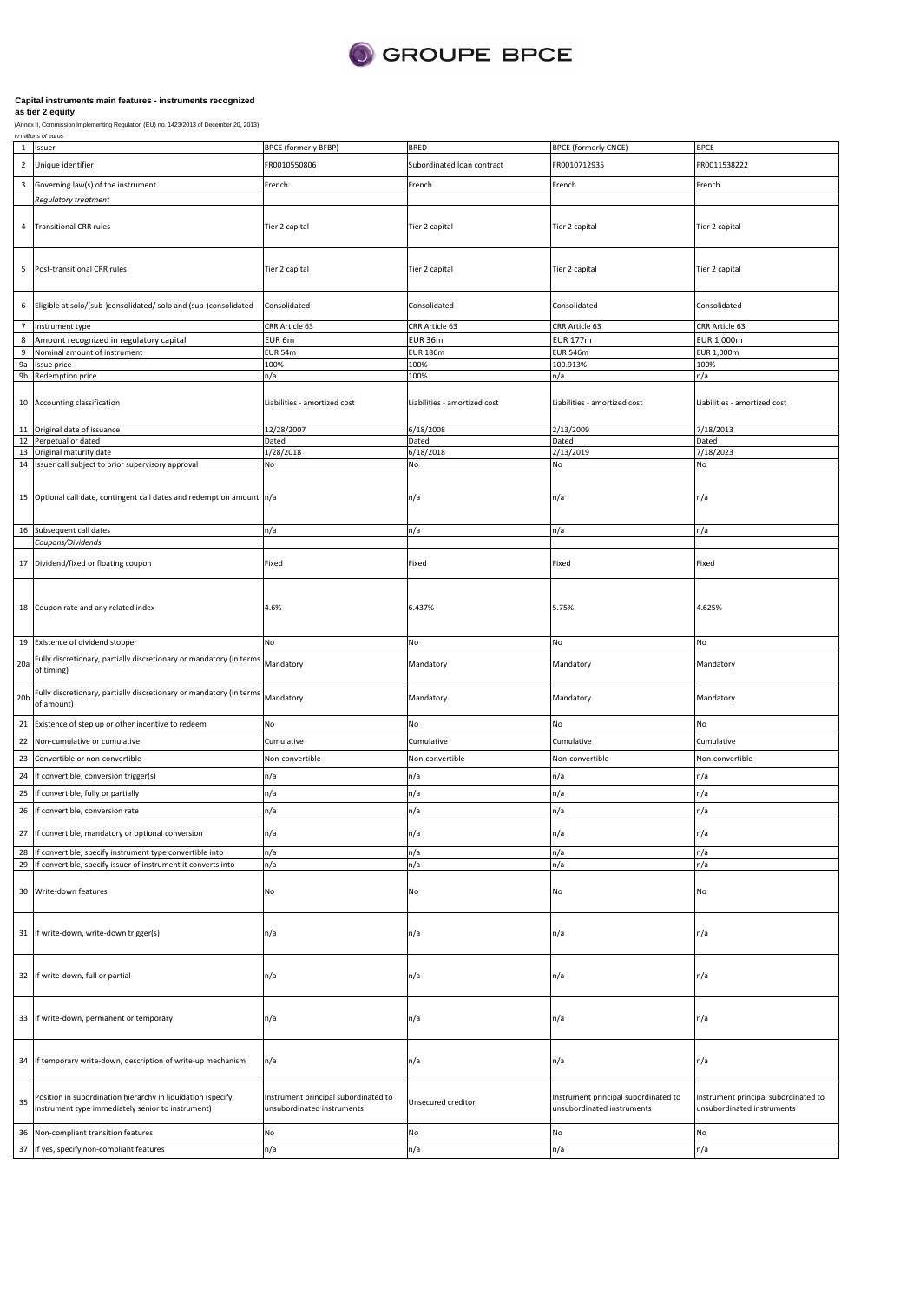

### **Capital instruments main features - instruments recognized**

### **as tier 2 equity**

(Annex II, Commission Implementing Regulation (EU) no. 1423/2013 of December 20, 2013)

### is of euros 1 Issue 2 Unique identifier 3 Governing law(s) of the instrument **Regulatory treatme** 4 Transitional CRR rules 5 Post-transitional CRR rules 6 Eligible at solo/(sub-)consolidated/ solo and (sub-)consolidated 7 Instrument type 8 Amount recognized in regulatory capital 9 Nominal amount of instrument ssue price 9b Redemption price 10 Accounting classification 11 Original date of issuance 12 Perpetual or dated 13 Original maturity date<br>14 Issuer call subject to p Issuer call subject to prior supervisory approval 15 Optional call date, contingent call dates and redemption amount 16 Subsequent call dates *Coupons/Dividends* 17 Dividend/fixed or floating coupon 18 Coupon rate and any related index 19 Existence of dividend stopper 20a Fully discretionary, partially discretionary or mandatory (in terms Mandatory of timing) 20b Fully discretionary, partially discretionary or mandatory (in terms of amount) 21 Existence of step up or other incentive to redeem 22 Non-cumulative or cumulative 23 Convertible or non-convertible 24 If convertible, conversion trigger(s) 25 If convertible, fully or partially 26 If convertible, conversion rate 27 If convertible, mandatory or optional conversion BPCE (formerly BFBP) BRED BRED BPCE (formerly CNCE) FR0010550806 Subordinated loan contract FR0010712935 FR0011538222 French French French French Tier 2 capital Tier 2 capital Tier 2 capital Tier 2 capital Tier 2 capital Tier 2 capital Tier 2 capital Tier 2 capital Consolidated Consolidated Consolidated Consolidated CRR Article 63 CRR Article 63 CRR Article 63 CRR Article 63 EUR 6m EUR 36m EUR 177m EUR 1,000m EUR 54m EUR 186m EUR 546m EUR 1,000m 100% 100% 100.913% 100% n/a 100% n/a n/a Liabilities - amortized cost Liabilities - amortized cost Liabilities - amortized cost Liabilities - amortized cost 12/28/2007 6/18/2008 2/13/2009 7/18/2013 Dated Dated Dated Dated 1/28/2018 6/18/2018 2/13/2019 7/18/2023 No No No No n/a n/a n/a n/a n/a n/a n/a n/a Fixed Fixed Fixed Fixed 4.6% 6.437% 5.75% 4.625% No No No No Mandatory Mandatory Mandatory Mandatory Mandatory Mandatory Mandatory Mandatory No No No No Cumulative Cumulative Cumulative Cumulative Non-convertible Non-convertible Non-convertible Non-convertible n/a n/a n/a n/a n/a n/a n/a n/a n/a n/a n/a n/a n/a n/a n/a n/a n/a n/a n/a n/a n/a n/a n/a n/a

| 28 | If convertible, specify instrument type convertible into                                                         | n/a                                                                | n/a                | n/a                                                                | n/a                                                                |
|----|------------------------------------------------------------------------------------------------------------------|--------------------------------------------------------------------|--------------------|--------------------------------------------------------------------|--------------------------------------------------------------------|
| 29 | If convertible, specify issuer of instrument it converts into                                                    | n/a                                                                | n/a                | n/a                                                                | n/a                                                                |
|    | 30 Write-down features                                                                                           | No                                                                 | <b>No</b>          | No                                                                 | No                                                                 |
|    | 31 If write-down, write-down trigger(s)                                                                          | n/a                                                                | n/a                | n/a                                                                | In/a                                                               |
|    | 32 If write-down, full or partial                                                                                | n/a                                                                | n/a                | n/a                                                                | In/a                                                               |
|    | 33 If write-down, permanent or temporary                                                                         | n/a                                                                | n/a                | n/a                                                                | In/a                                                               |
|    | 34 If temporary write-down, description of write-up mechanism                                                    | n/a                                                                | n/a                | n/a                                                                | In/a                                                               |
| 35 | Position in subordination hierarchy in liquidation (specify<br>instrument type immediately senior to instrument) | Instrument principal subordinated to<br>unsubordinated instruments | Unsecured creditor | Instrument principal subordinated to<br>unsubordinated instruments | Instrument principal subordinated to<br>unsubordinated instruments |
|    | 36 Non-compliant transition features                                                                             | No                                                                 | No                 | No                                                                 | No                                                                 |
|    | 37 If yes, specify non-compliant features                                                                        | n/a                                                                | n/a                | n/a                                                                | n/a                                                                |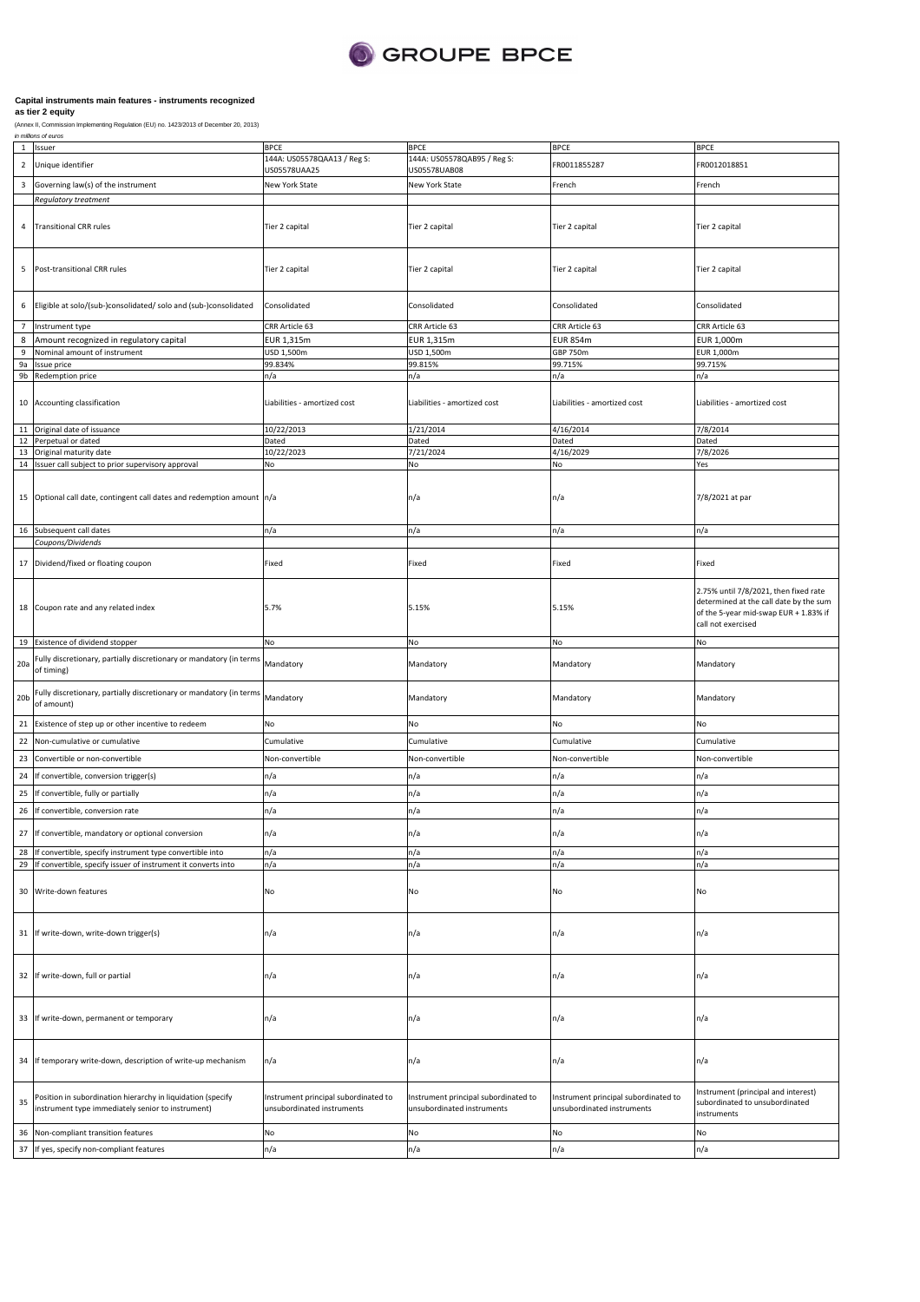

| 144A: US05578QAA13 / Reg S:<br>144A: US05578QAB95 / Reg S:<br>$\overline{2}$<br>Unique identifier<br>FR0011855287<br>FR0012018851<br>US05578UAA25<br>US05578UAB08<br>3<br>Governing law(s) of the instrument<br>New York State<br>New York State<br>French<br>French<br>Regulatory treatment<br><b>Transitional CRR rules</b><br>Tier 2 capital<br>4<br>Tier 2 capital<br>Tier 2 capital<br>Tier 2 capital<br>Post-transitional CRR rules<br>Tier 2 capital<br>5<br>Tier 2 capital<br>Tier 2 capital<br>Tier 2 capital<br>Eligible at solo/(sub-)consolidated/ solo and (sub-)consolidated<br>Consolidated<br>Consolidated<br>Consolidated<br>Consolidated<br>6<br>$\overline{7}$<br>CRR Article 63<br>CRR Article 63<br>CRR Article 63<br>Instrument type<br>CRR Article 63<br>8<br>Amount recognized in regulatory capital<br>EUR 1,315m<br>EUR 1,315m<br><b>EUR 854m</b><br>EUR 1,000m<br>9<br>Nominal amount of instrument<br>USD 1,500m<br>USD 1,500m<br><b>GBP 750m</b><br>EUR 1,000m<br>99.834%<br>99.815%<br>99.715%<br>99.715%<br>9a<br>Issue price<br>9b<br>Redemption price<br>n/a<br>n/a<br>n/a<br>n/a<br>10 Accounting classification<br>Liabilities - amortized cost<br>Liabilities - amortized cost<br>Liabilities - amortized cost<br>Liabilities - amortized cost<br>10/22/2013<br>1/21/2014<br>7/8/2014<br>11 Original date of issuance<br>4/16/2014<br>12<br>Perpetual or dated<br>Dated<br>Dated<br>Dated<br>Dated<br>13 Original maturity date<br>10/22/2023<br>7/21/2024<br>4/16/2029<br>7/8/2026<br>14 Issuer call subject to prior supervisory approval<br>No<br>Yes<br>No<br>No<br>15 Optional call date, contingent call dates and redemption amount n/a<br>n/a<br>7/8/2021 at par<br>n/a<br>16 Subsequent call dates<br>n/a<br>n/a<br>n/a<br>n/a<br>Coupons/Dividends<br>17 Dividend/fixed or floating coupon<br>Fixed<br>Fixed<br>Fixed<br>Fixed<br>18 Coupon rate and any related index<br>5.7%<br>5.15%<br>5.15%<br>call not exercised<br>19 Existence of dividend stopper<br>No<br>No<br>No<br>No<br>Fully discretionary, partially discretionary or mandatory (in terms<br>20a<br>Mandatory<br>Mandatory<br>Mandatory<br>Mandatory<br>of timing)<br>Fully discretionary, partially discretionary or mandatory (in terms<br>Mandatory<br>20 <sub>b</sub><br>Mandatory<br>Mandatory<br>Mandatory<br>of amount)<br>21<br>No<br>Existence of step up or other incentive to redeem<br>No<br>No<br>No<br>22<br>Cumulative<br>Cumulative<br>Cumulative<br>Cumulative<br>Non-cumulative or cumulative<br>23<br>Convertible or non-convertible<br>Non-convertible<br>Non-convertible<br>Non-convertible<br>Non-convertible<br>n/a<br>n/a<br>24<br>If convertible, conversion trigger(s)<br>n/a<br>n/a<br>n/a<br>n/a<br>n/a<br>n/a<br>25<br>If convertible, fully or partially<br>n/a<br>n/a<br>26<br>n/a<br>n/a<br>If convertible, conversion rate<br>$\frac{2}{\pi}$<br>If convertible, mandatory or optional conversion<br>n/a<br>n/a<br>n/a<br>n/a<br>28 If convertible, specify instrument type convertible into<br>n/a<br>n/a<br>n/a<br>n/a<br>If convertible, specify issuer of instrument it converts into<br>29<br>n/a<br>n/a<br>n/a<br>n/a<br>30 Write-down features<br>No<br>No<br>No<br>No<br>31 If write-down, write-down trigger(s)<br>n/a<br>n/a<br>n/a<br>n/a<br>32 If write-down, full or partial<br>n/a<br>n/a<br>n/a<br>n/a<br>33 If write-down, permanent or temporary<br>n/a<br>n/a<br>n/a<br>n/a<br>If temporary write-down, description of write-up mechanism<br>n/a<br>n/a<br>n/a<br>34<br>n/a<br>Position in subordination hierarchy in liquidation (specify<br>Instrument principal subordinated to<br>Instrument principal subordinated to<br>Instrument principal subordinated to<br>35<br>instrument type immediately senior to instrument)<br>unsubordinated instruments<br>unsubordinated instruments<br>unsubordinated instruments<br>instruments<br>Non-compliant transition features<br>No<br>No<br>No<br>No<br>36 | $\,$ 1 | Issuer | <b>BPCE</b> | <b>BPCE</b> | <b>BPCE</b> | <b>BPCE</b>                                                                                                              |
|----------------------------------------------------------------------------------------------------------------------------------------------------------------------------------------------------------------------------------------------------------------------------------------------------------------------------------------------------------------------------------------------------------------------------------------------------------------------------------------------------------------------------------------------------------------------------------------------------------------------------------------------------------------------------------------------------------------------------------------------------------------------------------------------------------------------------------------------------------------------------------------------------------------------------------------------------------------------------------------------------------------------------------------------------------------------------------------------------------------------------------------------------------------------------------------------------------------------------------------------------------------------------------------------------------------------------------------------------------------------------------------------------------------------------------------------------------------------------------------------------------------------------------------------------------------------------------------------------------------------------------------------------------------------------------------------------------------------------------------------------------------------------------------------------------------------------------------------------------------------------------------------------------------------------------------------------------------------------------------------------------------------------------------------------------------------------------------------------------------------------------------------------------------------------------------------------------------------------------------------------------------------------------------------------------------------------------------------------------------------------------------------------------------------------------------------------------------------------------------------------------------------------------------------------------------------------------------------------------------------------------------------------------------------------------------------------------------------------------------------------------------------------------------------------------------------------------------------------------------------------------------------------------------------------------------------------------------------------------------------------------------------------------------------------------------------------------------------------------------------------------------------------------------------------------------------------------------------------------------------------------------------------------------------------------------------------------------------------------------------------------------------------------------------------------------------------------------------------------------------------------------------------------------------------------------------------------------------------------------------------------------------------------------------------------------------------------------------------------------------------------------------------------------------------------------------------------------------------------------------------------------------------------------------------------------------------------------------------|--------|--------|-------------|-------------|-------------|--------------------------------------------------------------------------------------------------------------------------|
|                                                                                                                                                                                                                                                                                                                                                                                                                                                                                                                                                                                                                                                                                                                                                                                                                                                                                                                                                                                                                                                                                                                                                                                                                                                                                                                                                                                                                                                                                                                                                                                                                                                                                                                                                                                                                                                                                                                                                                                                                                                                                                                                                                                                                                                                                                                                                                                                                                                                                                                                                                                                                                                                                                                                                                                                                                                                                                                                                                                                                                                                                                                                                                                                                                                                                                                                                                                                                                                                                                                                                                                                                                                                                                                                                                                                                                                                                                                                                                            |        |        |             |             |             |                                                                                                                          |
|                                                                                                                                                                                                                                                                                                                                                                                                                                                                                                                                                                                                                                                                                                                                                                                                                                                                                                                                                                                                                                                                                                                                                                                                                                                                                                                                                                                                                                                                                                                                                                                                                                                                                                                                                                                                                                                                                                                                                                                                                                                                                                                                                                                                                                                                                                                                                                                                                                                                                                                                                                                                                                                                                                                                                                                                                                                                                                                                                                                                                                                                                                                                                                                                                                                                                                                                                                                                                                                                                                                                                                                                                                                                                                                                                                                                                                                                                                                                                                            |        |        |             |             |             |                                                                                                                          |
|                                                                                                                                                                                                                                                                                                                                                                                                                                                                                                                                                                                                                                                                                                                                                                                                                                                                                                                                                                                                                                                                                                                                                                                                                                                                                                                                                                                                                                                                                                                                                                                                                                                                                                                                                                                                                                                                                                                                                                                                                                                                                                                                                                                                                                                                                                                                                                                                                                                                                                                                                                                                                                                                                                                                                                                                                                                                                                                                                                                                                                                                                                                                                                                                                                                                                                                                                                                                                                                                                                                                                                                                                                                                                                                                                                                                                                                                                                                                                                            |        |        |             |             |             |                                                                                                                          |
|                                                                                                                                                                                                                                                                                                                                                                                                                                                                                                                                                                                                                                                                                                                                                                                                                                                                                                                                                                                                                                                                                                                                                                                                                                                                                                                                                                                                                                                                                                                                                                                                                                                                                                                                                                                                                                                                                                                                                                                                                                                                                                                                                                                                                                                                                                                                                                                                                                                                                                                                                                                                                                                                                                                                                                                                                                                                                                                                                                                                                                                                                                                                                                                                                                                                                                                                                                                                                                                                                                                                                                                                                                                                                                                                                                                                                                                                                                                                                                            |        |        |             |             |             |                                                                                                                          |
|                                                                                                                                                                                                                                                                                                                                                                                                                                                                                                                                                                                                                                                                                                                                                                                                                                                                                                                                                                                                                                                                                                                                                                                                                                                                                                                                                                                                                                                                                                                                                                                                                                                                                                                                                                                                                                                                                                                                                                                                                                                                                                                                                                                                                                                                                                                                                                                                                                                                                                                                                                                                                                                                                                                                                                                                                                                                                                                                                                                                                                                                                                                                                                                                                                                                                                                                                                                                                                                                                                                                                                                                                                                                                                                                                                                                                                                                                                                                                                            |        |        |             |             |             |                                                                                                                          |
|                                                                                                                                                                                                                                                                                                                                                                                                                                                                                                                                                                                                                                                                                                                                                                                                                                                                                                                                                                                                                                                                                                                                                                                                                                                                                                                                                                                                                                                                                                                                                                                                                                                                                                                                                                                                                                                                                                                                                                                                                                                                                                                                                                                                                                                                                                                                                                                                                                                                                                                                                                                                                                                                                                                                                                                                                                                                                                                                                                                                                                                                                                                                                                                                                                                                                                                                                                                                                                                                                                                                                                                                                                                                                                                                                                                                                                                                                                                                                                            |        |        |             |             |             |                                                                                                                          |
|                                                                                                                                                                                                                                                                                                                                                                                                                                                                                                                                                                                                                                                                                                                                                                                                                                                                                                                                                                                                                                                                                                                                                                                                                                                                                                                                                                                                                                                                                                                                                                                                                                                                                                                                                                                                                                                                                                                                                                                                                                                                                                                                                                                                                                                                                                                                                                                                                                                                                                                                                                                                                                                                                                                                                                                                                                                                                                                                                                                                                                                                                                                                                                                                                                                                                                                                                                                                                                                                                                                                                                                                                                                                                                                                                                                                                                                                                                                                                                            |        |        |             |             |             |                                                                                                                          |
|                                                                                                                                                                                                                                                                                                                                                                                                                                                                                                                                                                                                                                                                                                                                                                                                                                                                                                                                                                                                                                                                                                                                                                                                                                                                                                                                                                                                                                                                                                                                                                                                                                                                                                                                                                                                                                                                                                                                                                                                                                                                                                                                                                                                                                                                                                                                                                                                                                                                                                                                                                                                                                                                                                                                                                                                                                                                                                                                                                                                                                                                                                                                                                                                                                                                                                                                                                                                                                                                                                                                                                                                                                                                                                                                                                                                                                                                                                                                                                            |        |        |             |             |             |                                                                                                                          |
|                                                                                                                                                                                                                                                                                                                                                                                                                                                                                                                                                                                                                                                                                                                                                                                                                                                                                                                                                                                                                                                                                                                                                                                                                                                                                                                                                                                                                                                                                                                                                                                                                                                                                                                                                                                                                                                                                                                                                                                                                                                                                                                                                                                                                                                                                                                                                                                                                                                                                                                                                                                                                                                                                                                                                                                                                                                                                                                                                                                                                                                                                                                                                                                                                                                                                                                                                                                                                                                                                                                                                                                                                                                                                                                                                                                                                                                                                                                                                                            |        |        |             |             |             |                                                                                                                          |
|                                                                                                                                                                                                                                                                                                                                                                                                                                                                                                                                                                                                                                                                                                                                                                                                                                                                                                                                                                                                                                                                                                                                                                                                                                                                                                                                                                                                                                                                                                                                                                                                                                                                                                                                                                                                                                                                                                                                                                                                                                                                                                                                                                                                                                                                                                                                                                                                                                                                                                                                                                                                                                                                                                                                                                                                                                                                                                                                                                                                                                                                                                                                                                                                                                                                                                                                                                                                                                                                                                                                                                                                                                                                                                                                                                                                                                                                                                                                                                            |        |        |             |             |             |                                                                                                                          |
|                                                                                                                                                                                                                                                                                                                                                                                                                                                                                                                                                                                                                                                                                                                                                                                                                                                                                                                                                                                                                                                                                                                                                                                                                                                                                                                                                                                                                                                                                                                                                                                                                                                                                                                                                                                                                                                                                                                                                                                                                                                                                                                                                                                                                                                                                                                                                                                                                                                                                                                                                                                                                                                                                                                                                                                                                                                                                                                                                                                                                                                                                                                                                                                                                                                                                                                                                                                                                                                                                                                                                                                                                                                                                                                                                                                                                                                                                                                                                                            |        |        |             |             |             |                                                                                                                          |
|                                                                                                                                                                                                                                                                                                                                                                                                                                                                                                                                                                                                                                                                                                                                                                                                                                                                                                                                                                                                                                                                                                                                                                                                                                                                                                                                                                                                                                                                                                                                                                                                                                                                                                                                                                                                                                                                                                                                                                                                                                                                                                                                                                                                                                                                                                                                                                                                                                                                                                                                                                                                                                                                                                                                                                                                                                                                                                                                                                                                                                                                                                                                                                                                                                                                                                                                                                                                                                                                                                                                                                                                                                                                                                                                                                                                                                                                                                                                                                            |        |        |             |             |             |                                                                                                                          |
|                                                                                                                                                                                                                                                                                                                                                                                                                                                                                                                                                                                                                                                                                                                                                                                                                                                                                                                                                                                                                                                                                                                                                                                                                                                                                                                                                                                                                                                                                                                                                                                                                                                                                                                                                                                                                                                                                                                                                                                                                                                                                                                                                                                                                                                                                                                                                                                                                                                                                                                                                                                                                                                                                                                                                                                                                                                                                                                                                                                                                                                                                                                                                                                                                                                                                                                                                                                                                                                                                                                                                                                                                                                                                                                                                                                                                                                                                                                                                                            |        |        |             |             |             |                                                                                                                          |
|                                                                                                                                                                                                                                                                                                                                                                                                                                                                                                                                                                                                                                                                                                                                                                                                                                                                                                                                                                                                                                                                                                                                                                                                                                                                                                                                                                                                                                                                                                                                                                                                                                                                                                                                                                                                                                                                                                                                                                                                                                                                                                                                                                                                                                                                                                                                                                                                                                                                                                                                                                                                                                                                                                                                                                                                                                                                                                                                                                                                                                                                                                                                                                                                                                                                                                                                                                                                                                                                                                                                                                                                                                                                                                                                                                                                                                                                                                                                                                            |        |        |             |             |             |                                                                                                                          |
|                                                                                                                                                                                                                                                                                                                                                                                                                                                                                                                                                                                                                                                                                                                                                                                                                                                                                                                                                                                                                                                                                                                                                                                                                                                                                                                                                                                                                                                                                                                                                                                                                                                                                                                                                                                                                                                                                                                                                                                                                                                                                                                                                                                                                                                                                                                                                                                                                                                                                                                                                                                                                                                                                                                                                                                                                                                                                                                                                                                                                                                                                                                                                                                                                                                                                                                                                                                                                                                                                                                                                                                                                                                                                                                                                                                                                                                                                                                                                                            |        |        |             |             |             |                                                                                                                          |
|                                                                                                                                                                                                                                                                                                                                                                                                                                                                                                                                                                                                                                                                                                                                                                                                                                                                                                                                                                                                                                                                                                                                                                                                                                                                                                                                                                                                                                                                                                                                                                                                                                                                                                                                                                                                                                                                                                                                                                                                                                                                                                                                                                                                                                                                                                                                                                                                                                                                                                                                                                                                                                                                                                                                                                                                                                                                                                                                                                                                                                                                                                                                                                                                                                                                                                                                                                                                                                                                                                                                                                                                                                                                                                                                                                                                                                                                                                                                                                            |        |        |             |             |             |                                                                                                                          |
|                                                                                                                                                                                                                                                                                                                                                                                                                                                                                                                                                                                                                                                                                                                                                                                                                                                                                                                                                                                                                                                                                                                                                                                                                                                                                                                                                                                                                                                                                                                                                                                                                                                                                                                                                                                                                                                                                                                                                                                                                                                                                                                                                                                                                                                                                                                                                                                                                                                                                                                                                                                                                                                                                                                                                                                                                                                                                                                                                                                                                                                                                                                                                                                                                                                                                                                                                                                                                                                                                                                                                                                                                                                                                                                                                                                                                                                                                                                                                                            |        |        |             |             |             |                                                                                                                          |
|                                                                                                                                                                                                                                                                                                                                                                                                                                                                                                                                                                                                                                                                                                                                                                                                                                                                                                                                                                                                                                                                                                                                                                                                                                                                                                                                                                                                                                                                                                                                                                                                                                                                                                                                                                                                                                                                                                                                                                                                                                                                                                                                                                                                                                                                                                                                                                                                                                                                                                                                                                                                                                                                                                                                                                                                                                                                                                                                                                                                                                                                                                                                                                                                                                                                                                                                                                                                                                                                                                                                                                                                                                                                                                                                                                                                                                                                                                                                                                            |        |        |             |             |             |                                                                                                                          |
|                                                                                                                                                                                                                                                                                                                                                                                                                                                                                                                                                                                                                                                                                                                                                                                                                                                                                                                                                                                                                                                                                                                                                                                                                                                                                                                                                                                                                                                                                                                                                                                                                                                                                                                                                                                                                                                                                                                                                                                                                                                                                                                                                                                                                                                                                                                                                                                                                                                                                                                                                                                                                                                                                                                                                                                                                                                                                                                                                                                                                                                                                                                                                                                                                                                                                                                                                                                                                                                                                                                                                                                                                                                                                                                                                                                                                                                                                                                                                                            |        |        |             |             |             |                                                                                                                          |
|                                                                                                                                                                                                                                                                                                                                                                                                                                                                                                                                                                                                                                                                                                                                                                                                                                                                                                                                                                                                                                                                                                                                                                                                                                                                                                                                                                                                                                                                                                                                                                                                                                                                                                                                                                                                                                                                                                                                                                                                                                                                                                                                                                                                                                                                                                                                                                                                                                                                                                                                                                                                                                                                                                                                                                                                                                                                                                                                                                                                                                                                                                                                                                                                                                                                                                                                                                                                                                                                                                                                                                                                                                                                                                                                                                                                                                                                                                                                                                            |        |        |             |             |             |                                                                                                                          |
|                                                                                                                                                                                                                                                                                                                                                                                                                                                                                                                                                                                                                                                                                                                                                                                                                                                                                                                                                                                                                                                                                                                                                                                                                                                                                                                                                                                                                                                                                                                                                                                                                                                                                                                                                                                                                                                                                                                                                                                                                                                                                                                                                                                                                                                                                                                                                                                                                                                                                                                                                                                                                                                                                                                                                                                                                                                                                                                                                                                                                                                                                                                                                                                                                                                                                                                                                                                                                                                                                                                                                                                                                                                                                                                                                                                                                                                                                                                                                                            |        |        |             |             |             |                                                                                                                          |
|                                                                                                                                                                                                                                                                                                                                                                                                                                                                                                                                                                                                                                                                                                                                                                                                                                                                                                                                                                                                                                                                                                                                                                                                                                                                                                                                                                                                                                                                                                                                                                                                                                                                                                                                                                                                                                                                                                                                                                                                                                                                                                                                                                                                                                                                                                                                                                                                                                                                                                                                                                                                                                                                                                                                                                                                                                                                                                                                                                                                                                                                                                                                                                                                                                                                                                                                                                                                                                                                                                                                                                                                                                                                                                                                                                                                                                                                                                                                                                            |        |        |             |             |             |                                                                                                                          |
|                                                                                                                                                                                                                                                                                                                                                                                                                                                                                                                                                                                                                                                                                                                                                                                                                                                                                                                                                                                                                                                                                                                                                                                                                                                                                                                                                                                                                                                                                                                                                                                                                                                                                                                                                                                                                                                                                                                                                                                                                                                                                                                                                                                                                                                                                                                                                                                                                                                                                                                                                                                                                                                                                                                                                                                                                                                                                                                                                                                                                                                                                                                                                                                                                                                                                                                                                                                                                                                                                                                                                                                                                                                                                                                                                                                                                                                                                                                                                                            |        |        |             |             |             | 2.75% until 7/8/2021, then fixed rate<br>determined at the call date by the sum<br>of the 5-year mid-swap EUR + 1.83% if |
|                                                                                                                                                                                                                                                                                                                                                                                                                                                                                                                                                                                                                                                                                                                                                                                                                                                                                                                                                                                                                                                                                                                                                                                                                                                                                                                                                                                                                                                                                                                                                                                                                                                                                                                                                                                                                                                                                                                                                                                                                                                                                                                                                                                                                                                                                                                                                                                                                                                                                                                                                                                                                                                                                                                                                                                                                                                                                                                                                                                                                                                                                                                                                                                                                                                                                                                                                                                                                                                                                                                                                                                                                                                                                                                                                                                                                                                                                                                                                                            |        |        |             |             |             |                                                                                                                          |
|                                                                                                                                                                                                                                                                                                                                                                                                                                                                                                                                                                                                                                                                                                                                                                                                                                                                                                                                                                                                                                                                                                                                                                                                                                                                                                                                                                                                                                                                                                                                                                                                                                                                                                                                                                                                                                                                                                                                                                                                                                                                                                                                                                                                                                                                                                                                                                                                                                                                                                                                                                                                                                                                                                                                                                                                                                                                                                                                                                                                                                                                                                                                                                                                                                                                                                                                                                                                                                                                                                                                                                                                                                                                                                                                                                                                                                                                                                                                                                            |        |        |             |             |             |                                                                                                                          |
|                                                                                                                                                                                                                                                                                                                                                                                                                                                                                                                                                                                                                                                                                                                                                                                                                                                                                                                                                                                                                                                                                                                                                                                                                                                                                                                                                                                                                                                                                                                                                                                                                                                                                                                                                                                                                                                                                                                                                                                                                                                                                                                                                                                                                                                                                                                                                                                                                                                                                                                                                                                                                                                                                                                                                                                                                                                                                                                                                                                                                                                                                                                                                                                                                                                                                                                                                                                                                                                                                                                                                                                                                                                                                                                                                                                                                                                                                                                                                                            |        |        |             |             |             |                                                                                                                          |
|                                                                                                                                                                                                                                                                                                                                                                                                                                                                                                                                                                                                                                                                                                                                                                                                                                                                                                                                                                                                                                                                                                                                                                                                                                                                                                                                                                                                                                                                                                                                                                                                                                                                                                                                                                                                                                                                                                                                                                                                                                                                                                                                                                                                                                                                                                                                                                                                                                                                                                                                                                                                                                                                                                                                                                                                                                                                                                                                                                                                                                                                                                                                                                                                                                                                                                                                                                                                                                                                                                                                                                                                                                                                                                                                                                                                                                                                                                                                                                            |        |        |             |             |             |                                                                                                                          |
|                                                                                                                                                                                                                                                                                                                                                                                                                                                                                                                                                                                                                                                                                                                                                                                                                                                                                                                                                                                                                                                                                                                                                                                                                                                                                                                                                                                                                                                                                                                                                                                                                                                                                                                                                                                                                                                                                                                                                                                                                                                                                                                                                                                                                                                                                                                                                                                                                                                                                                                                                                                                                                                                                                                                                                                                                                                                                                                                                                                                                                                                                                                                                                                                                                                                                                                                                                                                                                                                                                                                                                                                                                                                                                                                                                                                                                                                                                                                                                            |        |        |             |             |             |                                                                                                                          |
|                                                                                                                                                                                                                                                                                                                                                                                                                                                                                                                                                                                                                                                                                                                                                                                                                                                                                                                                                                                                                                                                                                                                                                                                                                                                                                                                                                                                                                                                                                                                                                                                                                                                                                                                                                                                                                                                                                                                                                                                                                                                                                                                                                                                                                                                                                                                                                                                                                                                                                                                                                                                                                                                                                                                                                                                                                                                                                                                                                                                                                                                                                                                                                                                                                                                                                                                                                                                                                                                                                                                                                                                                                                                                                                                                                                                                                                                                                                                                                            |        |        |             |             |             |                                                                                                                          |
|                                                                                                                                                                                                                                                                                                                                                                                                                                                                                                                                                                                                                                                                                                                                                                                                                                                                                                                                                                                                                                                                                                                                                                                                                                                                                                                                                                                                                                                                                                                                                                                                                                                                                                                                                                                                                                                                                                                                                                                                                                                                                                                                                                                                                                                                                                                                                                                                                                                                                                                                                                                                                                                                                                                                                                                                                                                                                                                                                                                                                                                                                                                                                                                                                                                                                                                                                                                                                                                                                                                                                                                                                                                                                                                                                                                                                                                                                                                                                                            |        |        |             |             |             |                                                                                                                          |
|                                                                                                                                                                                                                                                                                                                                                                                                                                                                                                                                                                                                                                                                                                                                                                                                                                                                                                                                                                                                                                                                                                                                                                                                                                                                                                                                                                                                                                                                                                                                                                                                                                                                                                                                                                                                                                                                                                                                                                                                                                                                                                                                                                                                                                                                                                                                                                                                                                                                                                                                                                                                                                                                                                                                                                                                                                                                                                                                                                                                                                                                                                                                                                                                                                                                                                                                                                                                                                                                                                                                                                                                                                                                                                                                                                                                                                                                                                                                                                            |        |        |             |             |             |                                                                                                                          |
|                                                                                                                                                                                                                                                                                                                                                                                                                                                                                                                                                                                                                                                                                                                                                                                                                                                                                                                                                                                                                                                                                                                                                                                                                                                                                                                                                                                                                                                                                                                                                                                                                                                                                                                                                                                                                                                                                                                                                                                                                                                                                                                                                                                                                                                                                                                                                                                                                                                                                                                                                                                                                                                                                                                                                                                                                                                                                                                                                                                                                                                                                                                                                                                                                                                                                                                                                                                                                                                                                                                                                                                                                                                                                                                                                                                                                                                                                                                                                                            |        |        |             |             |             |                                                                                                                          |
|                                                                                                                                                                                                                                                                                                                                                                                                                                                                                                                                                                                                                                                                                                                                                                                                                                                                                                                                                                                                                                                                                                                                                                                                                                                                                                                                                                                                                                                                                                                                                                                                                                                                                                                                                                                                                                                                                                                                                                                                                                                                                                                                                                                                                                                                                                                                                                                                                                                                                                                                                                                                                                                                                                                                                                                                                                                                                                                                                                                                                                                                                                                                                                                                                                                                                                                                                                                                                                                                                                                                                                                                                                                                                                                                                                                                                                                                                                                                                                            |        |        |             |             |             |                                                                                                                          |
|                                                                                                                                                                                                                                                                                                                                                                                                                                                                                                                                                                                                                                                                                                                                                                                                                                                                                                                                                                                                                                                                                                                                                                                                                                                                                                                                                                                                                                                                                                                                                                                                                                                                                                                                                                                                                                                                                                                                                                                                                                                                                                                                                                                                                                                                                                                                                                                                                                                                                                                                                                                                                                                                                                                                                                                                                                                                                                                                                                                                                                                                                                                                                                                                                                                                                                                                                                                                                                                                                                                                                                                                                                                                                                                                                                                                                                                                                                                                                                            |        |        |             |             |             |                                                                                                                          |
|                                                                                                                                                                                                                                                                                                                                                                                                                                                                                                                                                                                                                                                                                                                                                                                                                                                                                                                                                                                                                                                                                                                                                                                                                                                                                                                                                                                                                                                                                                                                                                                                                                                                                                                                                                                                                                                                                                                                                                                                                                                                                                                                                                                                                                                                                                                                                                                                                                                                                                                                                                                                                                                                                                                                                                                                                                                                                                                                                                                                                                                                                                                                                                                                                                                                                                                                                                                                                                                                                                                                                                                                                                                                                                                                                                                                                                                                                                                                                                            |        |        |             |             |             |                                                                                                                          |
|                                                                                                                                                                                                                                                                                                                                                                                                                                                                                                                                                                                                                                                                                                                                                                                                                                                                                                                                                                                                                                                                                                                                                                                                                                                                                                                                                                                                                                                                                                                                                                                                                                                                                                                                                                                                                                                                                                                                                                                                                                                                                                                                                                                                                                                                                                                                                                                                                                                                                                                                                                                                                                                                                                                                                                                                                                                                                                                                                                                                                                                                                                                                                                                                                                                                                                                                                                                                                                                                                                                                                                                                                                                                                                                                                                                                                                                                                                                                                                            |        |        |             |             |             |                                                                                                                          |
|                                                                                                                                                                                                                                                                                                                                                                                                                                                                                                                                                                                                                                                                                                                                                                                                                                                                                                                                                                                                                                                                                                                                                                                                                                                                                                                                                                                                                                                                                                                                                                                                                                                                                                                                                                                                                                                                                                                                                                                                                                                                                                                                                                                                                                                                                                                                                                                                                                                                                                                                                                                                                                                                                                                                                                                                                                                                                                                                                                                                                                                                                                                                                                                                                                                                                                                                                                                                                                                                                                                                                                                                                                                                                                                                                                                                                                                                                                                                                                            |        |        |             |             |             |                                                                                                                          |
|                                                                                                                                                                                                                                                                                                                                                                                                                                                                                                                                                                                                                                                                                                                                                                                                                                                                                                                                                                                                                                                                                                                                                                                                                                                                                                                                                                                                                                                                                                                                                                                                                                                                                                                                                                                                                                                                                                                                                                                                                                                                                                                                                                                                                                                                                                                                                                                                                                                                                                                                                                                                                                                                                                                                                                                                                                                                                                                                                                                                                                                                                                                                                                                                                                                                                                                                                                                                                                                                                                                                                                                                                                                                                                                                                                                                                                                                                                                                                                            |        |        |             |             |             |                                                                                                                          |
|                                                                                                                                                                                                                                                                                                                                                                                                                                                                                                                                                                                                                                                                                                                                                                                                                                                                                                                                                                                                                                                                                                                                                                                                                                                                                                                                                                                                                                                                                                                                                                                                                                                                                                                                                                                                                                                                                                                                                                                                                                                                                                                                                                                                                                                                                                                                                                                                                                                                                                                                                                                                                                                                                                                                                                                                                                                                                                                                                                                                                                                                                                                                                                                                                                                                                                                                                                                                                                                                                                                                                                                                                                                                                                                                                                                                                                                                                                                                                                            |        |        |             |             |             |                                                                                                                          |
|                                                                                                                                                                                                                                                                                                                                                                                                                                                                                                                                                                                                                                                                                                                                                                                                                                                                                                                                                                                                                                                                                                                                                                                                                                                                                                                                                                                                                                                                                                                                                                                                                                                                                                                                                                                                                                                                                                                                                                                                                                                                                                                                                                                                                                                                                                                                                                                                                                                                                                                                                                                                                                                                                                                                                                                                                                                                                                                                                                                                                                                                                                                                                                                                                                                                                                                                                                                                                                                                                                                                                                                                                                                                                                                                                                                                                                                                                                                                                                            |        |        |             |             |             |                                                                                                                          |
|                                                                                                                                                                                                                                                                                                                                                                                                                                                                                                                                                                                                                                                                                                                                                                                                                                                                                                                                                                                                                                                                                                                                                                                                                                                                                                                                                                                                                                                                                                                                                                                                                                                                                                                                                                                                                                                                                                                                                                                                                                                                                                                                                                                                                                                                                                                                                                                                                                                                                                                                                                                                                                                                                                                                                                                                                                                                                                                                                                                                                                                                                                                                                                                                                                                                                                                                                                                                                                                                                                                                                                                                                                                                                                                                                                                                                                                                                                                                                                            |        |        |             |             |             |                                                                                                                          |
|                                                                                                                                                                                                                                                                                                                                                                                                                                                                                                                                                                                                                                                                                                                                                                                                                                                                                                                                                                                                                                                                                                                                                                                                                                                                                                                                                                                                                                                                                                                                                                                                                                                                                                                                                                                                                                                                                                                                                                                                                                                                                                                                                                                                                                                                                                                                                                                                                                                                                                                                                                                                                                                                                                                                                                                                                                                                                                                                                                                                                                                                                                                                                                                                                                                                                                                                                                                                                                                                                                                                                                                                                                                                                                                                                                                                                                                                                                                                                                            |        |        |             |             |             | nstrument (principal and interest)<br>subordinated to unsubordinated                                                     |
|                                                                                                                                                                                                                                                                                                                                                                                                                                                                                                                                                                                                                                                                                                                                                                                                                                                                                                                                                                                                                                                                                                                                                                                                                                                                                                                                                                                                                                                                                                                                                                                                                                                                                                                                                                                                                                                                                                                                                                                                                                                                                                                                                                                                                                                                                                                                                                                                                                                                                                                                                                                                                                                                                                                                                                                                                                                                                                                                                                                                                                                                                                                                                                                                                                                                                                                                                                                                                                                                                                                                                                                                                                                                                                                                                                                                                                                                                                                                                                            |        |        |             |             |             |                                                                                                                          |
| n/a<br>n/a<br>n/a<br>n/a<br>37<br>If yes, specify non-compliant features                                                                                                                                                                                                                                                                                                                                                                                                                                                                                                                                                                                                                                                                                                                                                                                                                                                                                                                                                                                                                                                                                                                                                                                                                                                                                                                                                                                                                                                                                                                                                                                                                                                                                                                                                                                                                                                                                                                                                                                                                                                                                                                                                                                                                                                                                                                                                                                                                                                                                                                                                                                                                                                                                                                                                                                                                                                                                                                                                                                                                                                                                                                                                                                                                                                                                                                                                                                                                                                                                                                                                                                                                                                                                                                                                                                                                                                                                                   |        |        |             |             |             |                                                                                                                          |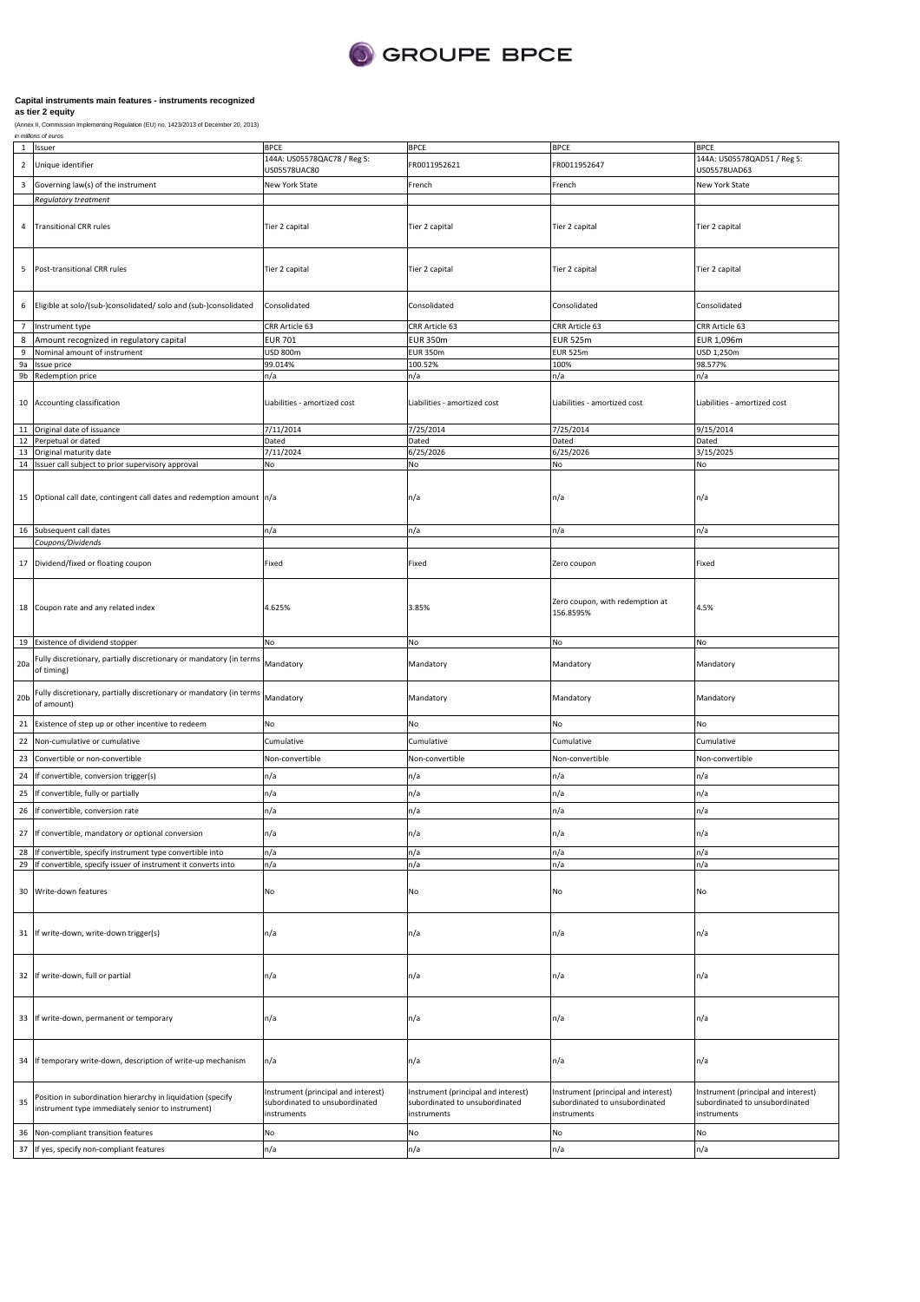

| 1               | Issuer                                                                                                           | <b>BPCE</b>                                                                          | <b>BPCE</b>                                                                          | <b>BPCE</b>                                                                          | <b>BPCE</b>                                                                          |
|-----------------|------------------------------------------------------------------------------------------------------------------|--------------------------------------------------------------------------------------|--------------------------------------------------------------------------------------|--------------------------------------------------------------------------------------|--------------------------------------------------------------------------------------|
| $\overline{2}$  | Unique identifier                                                                                                | 144A: US05578QAC78 / Reg S:<br>US05578UAC80                                          | FR0011952621                                                                         | FR0011952647                                                                         | 144A: US05578QAD51 / Reg S:<br>US05578UAD63                                          |
| 3               | Governing law(s) of the instrument                                                                               | New York State                                                                       | French                                                                               | French                                                                               | New York State                                                                       |
|                 | Regulatory treatment                                                                                             |                                                                                      |                                                                                      |                                                                                      |                                                                                      |
| 4               | <b>Transitional CRR rules</b>                                                                                    | Tier 2 capital                                                                       | Tier 2 capital                                                                       | Tier 2 capital                                                                       | Tier 2 capital                                                                       |
| 5               | Post-transitional CRR rules                                                                                      | Tier 2 capital                                                                       | Tier 2 capital                                                                       | Tier 2 capital                                                                       | Tier 2 capital                                                                       |
| 6               | Eligible at solo/(sub-)consolidated/ solo and (sub-)consolidated                                                 | Consolidated                                                                         | Consolidated                                                                         | Consolidated                                                                         | Consolidated                                                                         |
| $\overline{7}$  | Instrument type                                                                                                  | CRR Article 63                                                                       | CRR Article 63                                                                       | CRR Article 63                                                                       | CRR Article 63                                                                       |
| $\bf 8$         | Amount recognized in regulatory capital                                                                          | <b>EUR 701</b>                                                                       | <b>EUR 350m</b>                                                                      | <b>EUR 525m</b>                                                                      | EUR 1,096m                                                                           |
| 9               | Nominal amount of instrument                                                                                     | USD 800m                                                                             | <b>EUR 350m</b>                                                                      | <b>EUR 525m</b>                                                                      | USD 1,250m                                                                           |
| 9a              | Issue price                                                                                                      | 99.014%                                                                              | 100.52%                                                                              | 100%                                                                                 | 98.577%                                                                              |
|                 | 9b Redemption price                                                                                              | n/a                                                                                  | n/a                                                                                  | n/a                                                                                  | n/a                                                                                  |
|                 | 10 Accounting classification                                                                                     | Liabilities - amortized cost                                                         | Liabilities - amortized cost                                                         | Liabilities - amortized cost                                                         | Liabilities - amortized cost                                                         |
| 11              | Original date of issuance                                                                                        | 7/11/2014                                                                            | 7/25/2014                                                                            | 7/25/2014                                                                            | 9/15/2014                                                                            |
| 12              | Perpetual or dated                                                                                               | Dated                                                                                | Dated                                                                                | Dated                                                                                | Dated                                                                                |
| 13              | Original maturity date<br>14 Issuer call subject to prior supervisory approval                                   | 7/11/2024<br>No                                                                      | 6/25/2026<br>No                                                                      | 6/25/2026<br>No                                                                      | 3/15/2025<br>No                                                                      |
|                 |                                                                                                                  |                                                                                      |                                                                                      |                                                                                      |                                                                                      |
|                 | 15 Optional call date, contingent call dates and redemption amount n/a                                           |                                                                                      | n/a                                                                                  | n/a                                                                                  | n/a                                                                                  |
|                 | 16 Subsequent call dates                                                                                         | n/a                                                                                  | n/a                                                                                  | n/a                                                                                  | n/a                                                                                  |
|                 | Coupons/Dividends                                                                                                |                                                                                      |                                                                                      |                                                                                      |                                                                                      |
|                 | 17 Dividend/fixed or floating coupon                                                                             | Fixed                                                                                | Fixed                                                                                | Zero coupon                                                                          | Fixed                                                                                |
|                 | 18 Coupon rate and any related index                                                                             | 4.625%                                                                               | 3.85%                                                                                | Zero coupon, with redemption at<br>156.8595%                                         | 1.5%                                                                                 |
|                 | 19 Existence of dividend stopper                                                                                 | No                                                                                   | No                                                                                   | No                                                                                   | No                                                                                   |
| 20a             | Fully discretionary, partially discretionary or mandatory (in terms<br>of timing)                                | Mandatory                                                                            | Mandatory                                                                            | Mandatory                                                                            | Mandatory                                                                            |
| 20 <sub>b</sub> | Fully discretionary, partially discretionary or mandatory (in terms<br>of amount)                                | Mandatory                                                                            | Mandatory                                                                            | Mandatory                                                                            | Mandatory                                                                            |
| 21              | Existence of step up or other incentive to redeem                                                                | No                                                                                   | No                                                                                   | No                                                                                   | No                                                                                   |
| 22              | Non-cumulative or cumulative                                                                                     | Cumulative                                                                           | Cumulative                                                                           | Cumulative                                                                           | Cumulative                                                                           |
|                 | Convertible or non-convertible                                                                                   | Non-convertible                                                                      | Non-convertible                                                                      | Non-convertible                                                                      | Non-convertible                                                                      |
| 23              |                                                                                                                  |                                                                                      |                                                                                      |                                                                                      |                                                                                      |
| 24              | If convertible, conversion trigger(s)                                                                            | n/a                                                                                  | n/a                                                                                  | n/a                                                                                  | n/a                                                                                  |
| 25              | If convertible, fully or partially                                                                               | n/a                                                                                  | n/a                                                                                  | n/a                                                                                  | n/a                                                                                  |
| 26              | If convertible, conversion rate                                                                                  | n/a                                                                                  | n/a                                                                                  | n/a                                                                                  | n/a                                                                                  |
|                 |                                                                                                                  |                                                                                      |                                                                                      |                                                                                      |                                                                                      |
| 27              | If convertible, mandatory or optional conversion                                                                 | ٦/a                                                                                  | ٦/a                                                                                  | ٦/a                                                                                  | n/a                                                                                  |
| 28              | If convertible, specify instrument type convertible into                                                         | n/a                                                                                  | n/a                                                                                  | n/a                                                                                  | n/a                                                                                  |
|                 | 29 If convertible, specify issuer of instrument it converts into                                                 | n/a                                                                                  | n/a                                                                                  | n/a                                                                                  | n/a                                                                                  |
|                 | 30 Write-down features                                                                                           | No                                                                                   | No                                                                                   | No                                                                                   | No                                                                                   |
|                 | 31 If write-down, write-down trigger(s)                                                                          | n/a                                                                                  | n/a                                                                                  | n/a                                                                                  | n/a                                                                                  |
|                 | 32 If write-down, full or partial                                                                                | n/a                                                                                  | n/a                                                                                  | n/a                                                                                  | n/a                                                                                  |
|                 | 33 If write-down, permanent or temporary                                                                         | n/a                                                                                  | n/a                                                                                  | n/a                                                                                  | n/a                                                                                  |
|                 | 34 If temporary write-down, description of write-up mechanism                                                    | n/a                                                                                  | n/a                                                                                  | n/a                                                                                  | n/a                                                                                  |
| 35              | Position in subordination hierarchy in liquidation (specify<br>instrument type immediately senior to instrument) | Instrument (principal and interest)<br>subordinated to unsubordinated<br>instruments | Instrument (principal and interest)<br>subordinated to unsubordinated<br>instruments | Instrument (principal and interest)<br>subordinated to unsubordinated<br>instruments | Instrument (principal and interest)<br>subordinated to unsubordinated<br>instruments |
| 36              | Non-compliant transition features                                                                                | No                                                                                   | No                                                                                   | No                                                                                   | No                                                                                   |
| 37              | If yes, specify non-compliant features                                                                           | n/a                                                                                  | n/a                                                                                  | n/a                                                                                  | n/a                                                                                  |
|                 |                                                                                                                  |                                                                                      |                                                                                      |                                                                                      |                                                                                      |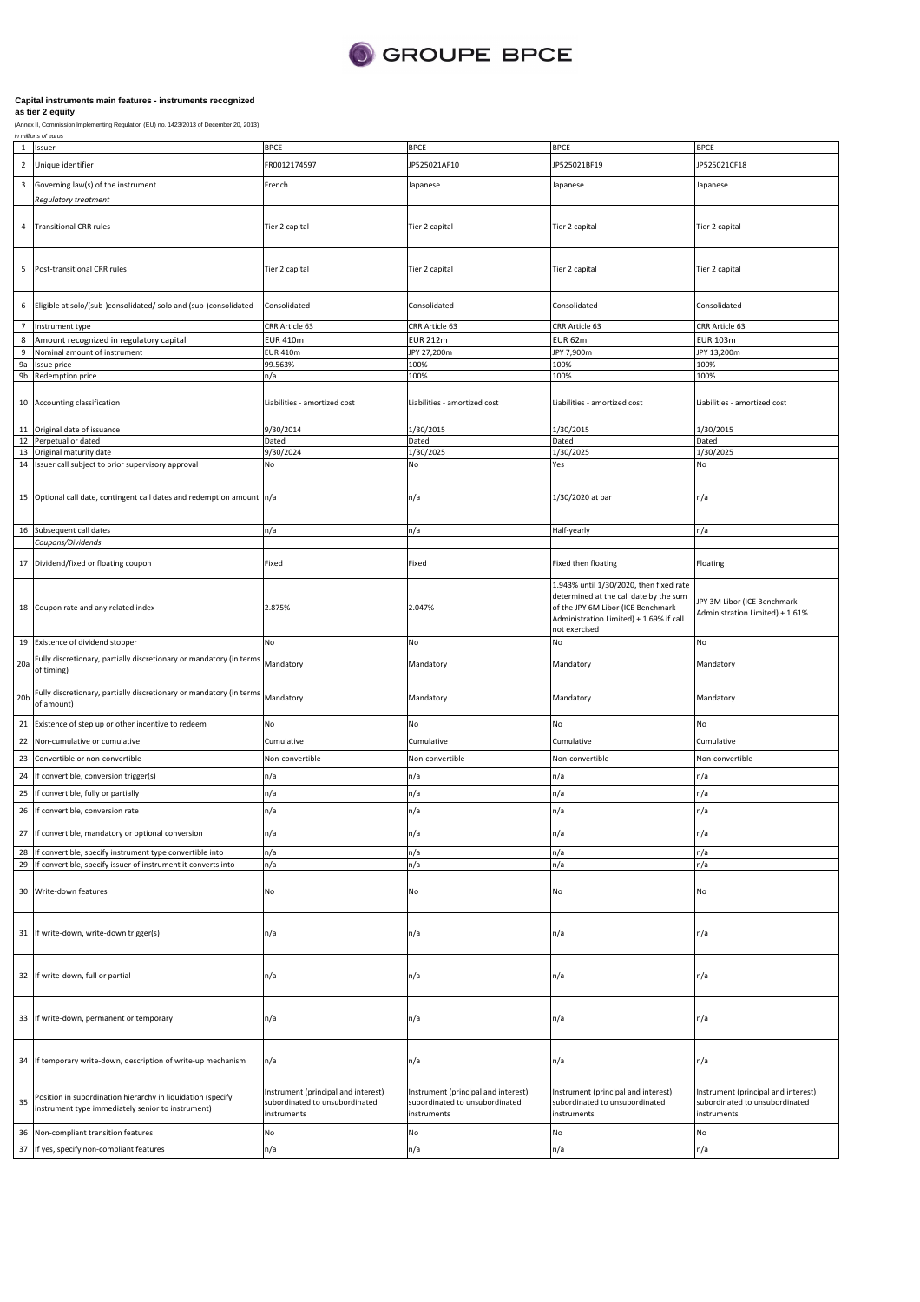

| 1                       | Issuer                                                                                                                    | <b>BPCE</b>                                                                          | <b>BPCE</b>                                                                          | BPCE                                                                                                                                                                                | <b>BPCE</b>                                                                          |
|-------------------------|---------------------------------------------------------------------------------------------------------------------------|--------------------------------------------------------------------------------------|--------------------------------------------------------------------------------------|-------------------------------------------------------------------------------------------------------------------------------------------------------------------------------------|--------------------------------------------------------------------------------------|
| $\overline{2}$          | Unique identifier                                                                                                         | FR0012174597                                                                         | JP525021AF10                                                                         | JP525021BF19                                                                                                                                                                        | JP525021CF18                                                                         |
| $\overline{\mathbf{3}}$ | Governing law(s) of the instrument                                                                                        | French                                                                               | Japanese                                                                             | Japanese                                                                                                                                                                            | Japanese                                                                             |
|                         | <b>Regulatory treatment</b>                                                                                               |                                                                                      |                                                                                      |                                                                                                                                                                                     |                                                                                      |
| 4                       | <b>Transitional CRR rules</b>                                                                                             | Tier 2 capital                                                                       | Tier 2 capital                                                                       | Tier 2 capital                                                                                                                                                                      | Tier 2 capital                                                                       |
| 5                       | Post-transitional CRR rules                                                                                               | Tier 2 capital                                                                       | Tier 2 capital                                                                       | Tier 2 capital                                                                                                                                                                      | Tier 2 capital                                                                       |
| 6                       | Eligible at solo/(sub-)consolidated/ solo and (sub-)consolidated                                                          | Consolidated                                                                         | Consolidated                                                                         | Consolidated                                                                                                                                                                        | Consolidated                                                                         |
| $7\overline{ }$         | Instrument type                                                                                                           | CRR Article 63                                                                       | CRR Article 63                                                                       | CRR Article 63                                                                                                                                                                      | CRR Article 63                                                                       |
| 8                       | Amount recognized in regulatory capital                                                                                   | EUR 410m                                                                             | <b>EUR 212m</b>                                                                      | EUR 62m                                                                                                                                                                             | <b>EUR 103m</b>                                                                      |
| 9                       | Nominal amount of instrument                                                                                              | EUR 410m                                                                             | JPY 27,200m                                                                          | JPY 7,900m                                                                                                                                                                          | JPY 13,200m                                                                          |
| 9a<br>9b                | Issue price<br>Redemption price                                                                                           | 99.563%<br>n/a                                                                       | 100%<br>100%                                                                         | 100%<br>100%                                                                                                                                                                        | 100%<br>100%                                                                         |
|                         |                                                                                                                           |                                                                                      |                                                                                      |                                                                                                                                                                                     |                                                                                      |
| 10                      | Accounting classification                                                                                                 | Liabilities - amortized cost                                                         | Liabilities - amortized cost                                                         | Liabilities - amortized cost                                                                                                                                                        | Liabilities - amortized cost                                                         |
| 11                      | Original date of issuance                                                                                                 | 9/30/2014                                                                            | 1/30/2015                                                                            | 1/30/2015                                                                                                                                                                           | 1/30/2015                                                                            |
| 12<br>13                | Perpetual or dated<br>Original maturity date                                                                              | Dated<br>9/30/2024                                                                   | Dated<br>1/30/2025                                                                   | Dated<br>1/30/2025                                                                                                                                                                  | Dated<br>1/30/2025                                                                   |
| 14                      | Issuer call subject to prior supervisory approval                                                                         | No                                                                                   | No                                                                                   | Yes                                                                                                                                                                                 | No                                                                                   |
|                         |                                                                                                                           |                                                                                      |                                                                                      |                                                                                                                                                                                     |                                                                                      |
| 15                      | Optional call date, contingent call dates and redemption amount n/a                                                       |                                                                                      | n/a                                                                                  | 1/30/2020 at par                                                                                                                                                                    | n/a                                                                                  |
|                         | 16 Subsequent call dates                                                                                                  | n/a                                                                                  | n/a                                                                                  | Half-yearly                                                                                                                                                                         | n/a                                                                                  |
|                         | Coupons/Dividends                                                                                                         |                                                                                      |                                                                                      |                                                                                                                                                                                     |                                                                                      |
| 17                      | Dividend/fixed or floating coupon                                                                                         | Fixed                                                                                | Fixed                                                                                | Fixed then floating                                                                                                                                                                 | Floating                                                                             |
| 18                      | Coupon rate and any related index                                                                                         | 2.875%                                                                               | 2.047%                                                                               | 1.943% until 1/30/2020, then fixed rate<br>determined at the call date by the sum<br>of the JPY 6M Libor (ICE Benchmark<br>Administration Limited) + 1.69% if call<br>not exercised | JPY 3M Libor (ICE Benchmark<br>Administration Limited) + 1.61%                       |
| 19                      | Existence of dividend stopper                                                                                             | No                                                                                   | No                                                                                   | No                                                                                                                                                                                  | No                                                                                   |
| 20a                     | Fully discretionary, partially discretionary or mandatory (in terms<br>of timing)                                         | Mandatory                                                                            | Mandatory                                                                            | Mandatory                                                                                                                                                                           | Mandatory                                                                            |
| 20 <sub>b</sub>         | Fully discretionary, partially discretionary or mandatory (in terms<br>of amount)                                         | Mandatory                                                                            | Mandatory                                                                            | Mandatory                                                                                                                                                                           | Mandatory                                                                            |
| 21                      | Existence of step up or other incentive to redeem                                                                         | No                                                                                   | No                                                                                   | No                                                                                                                                                                                  | No                                                                                   |
| 22                      | Non-cumulative or cumulative                                                                                              | Cumulative                                                                           | Cumulative                                                                           | Cumulative                                                                                                                                                                          | Cumulative                                                                           |
| 23                      | Convertible or non-convertible                                                                                            | Non-convertible                                                                      | Non-convertible                                                                      | Non-convertible                                                                                                                                                                     | Non-convertible                                                                      |
| 24                      | If convertible, conversion trigger(s)                                                                                     | n/a                                                                                  | n/a                                                                                  | n/a                                                                                                                                                                                 | n/a                                                                                  |
|                         | If convertible, fully or partially                                                                                        |                                                                                      |                                                                                      |                                                                                                                                                                                     |                                                                                      |
| 25                      |                                                                                                                           | n/a                                                                                  | n/a                                                                                  | n/a                                                                                                                                                                                 | n/a                                                                                  |
| 26                      | If convertible, conversion rate                                                                                           | n/a                                                                                  | n/a                                                                                  | n/a                                                                                                                                                                                 | n/a                                                                                  |
|                         | 27 If convertible, mandatory or optional conversion                                                                       | ר/a                                                                                  | η/a                                                                                  | ה/r                                                                                                                                                                                 | n/a                                                                                  |
| 28<br>29                | If convertible, specify instrument type convertible into<br>If convertible, specify issuer of instrument it converts into | n/a<br>n/a                                                                           | n/a<br>n/a                                                                           | n/a<br>n/a                                                                                                                                                                          | n/a<br>n/a                                                                           |
| 30                      | Write-down features                                                                                                       | No                                                                                   | No                                                                                   | No                                                                                                                                                                                  | No                                                                                   |
| 31                      | If write-down, write-down trigger(s)                                                                                      | n/a                                                                                  | n/a                                                                                  | n/a                                                                                                                                                                                 | n/a                                                                                  |
| 32                      | If write-down, full or partial                                                                                            | n/a                                                                                  | n/a                                                                                  | n/a                                                                                                                                                                                 | n/a                                                                                  |
| 33                      | If write-down, permanent or temporary                                                                                     | n/a                                                                                  | n/a                                                                                  | n/a                                                                                                                                                                                 | n/a                                                                                  |
| 34                      | If temporary write-down, description of write-up mechanism                                                                | n/a                                                                                  | n/a                                                                                  | n/a                                                                                                                                                                                 | n/a                                                                                  |
| 35                      | Position in subordination hierarchy in liquidation (specify<br>instrument type immediately senior to instrument)          | Instrument (principal and interest)<br>subordinated to unsubordinated<br>instruments | Instrument (principal and interest)<br>subordinated to unsubordinated<br>instruments | Instrument (principal and interest)<br>subordinated to unsubordinated<br>instruments                                                                                                | Instrument (principal and interest)<br>subordinated to unsubordinated<br>instruments |
| 36                      | Non-compliant transition features                                                                                         | No                                                                                   | No                                                                                   | No                                                                                                                                                                                  | No                                                                                   |
| 37                      | If yes, specify non-compliant features                                                                                    | n/a                                                                                  | n/a                                                                                  | n/a                                                                                                                                                                                 | n/a                                                                                  |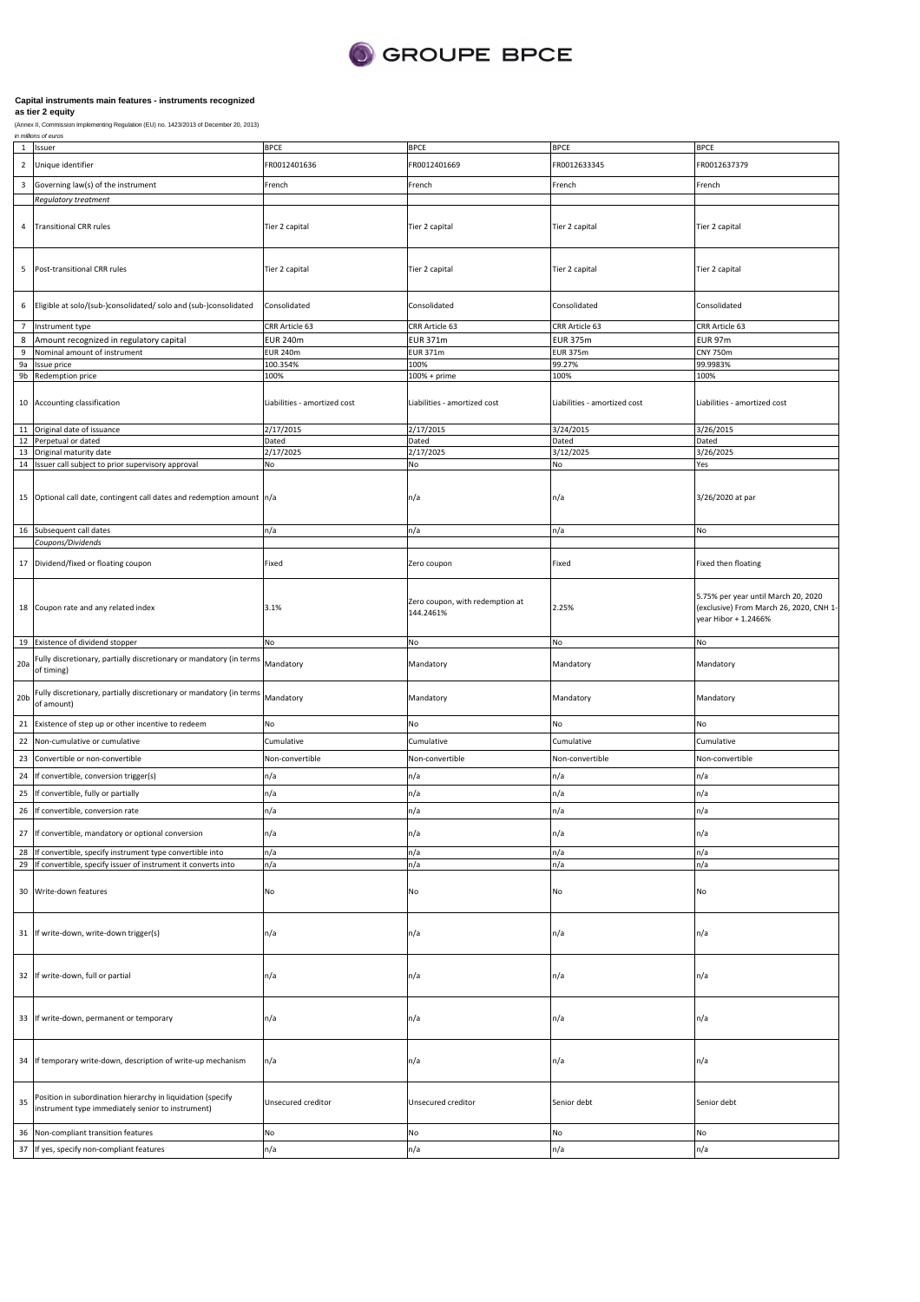

|                 | 1 Issuer                                                                                    | <b>BPCE</b>                  | <b>BPCE</b>                     | <b>BPCE</b>                  | <b>BPCE</b>                             |
|-----------------|---------------------------------------------------------------------------------------------|------------------------------|---------------------------------|------------------------------|-----------------------------------------|
|                 |                                                                                             | FR0012401636                 | FR0012401669                    |                              |                                         |
| $\overline{2}$  | Unique identifier                                                                           |                              |                                 | FR0012633345                 | FR0012637379                            |
| $\mathbf{3}$    | Governing law(s) of the instrument                                                          | French                       | French                          | French                       | French                                  |
|                 | Regulatory treatment                                                                        |                              |                                 |                              |                                         |
|                 |                                                                                             |                              |                                 |                              |                                         |
|                 | <b>Transitional CRR rules</b>                                                               |                              |                                 |                              |                                         |
| 4               |                                                                                             | Tier 2 capital               | Tier 2 capital                  | Tier 2 capital               | Tier 2 capital                          |
|                 |                                                                                             |                              |                                 |                              |                                         |
|                 |                                                                                             |                              |                                 |                              |                                         |
| 5               | Post-transitional CRR rules                                                                 | Tier 2 capital               | Tier 2 capital                  | Tier 2 capital               | Tier 2 capital                          |
|                 |                                                                                             |                              |                                 |                              |                                         |
|                 |                                                                                             |                              |                                 |                              |                                         |
| 6               | Eligible at solo/(sub-)consolidated/ solo and (sub-)consolidated                            | Consolidated                 | Consolidated                    | Consolidated                 | Consolidated                            |
|                 |                                                                                             |                              |                                 |                              |                                         |
| $\overline{7}$  | Instrument type                                                                             | CRR Article 63               | CRR Article 63                  | CRR Article 63               | CRR Article 63                          |
| 8               | Amount recognized in regulatory capital                                                     | <b>EUR 240m</b>              | <b>EUR 371m</b>                 | <b>EUR 375m</b>              | <b>EUR 97m</b>                          |
| 9               | Nominal amount of instrument                                                                | <b>EUR 240m</b>              | <b>EUR 371m</b>                 | <b>EUR 375m</b>              | <b>CNY 750m</b>                         |
| <b>9a</b>       | Issue price                                                                                 | 100.354%                     | 100%                            | 99.27%                       | 99.9983%                                |
|                 | 9b Redemption price                                                                         | 100%                         | 100% + prime                    | 100%                         | 100%                                    |
|                 |                                                                                             |                              |                                 |                              |                                         |
|                 | 10 Accounting classification                                                                | Liabilities - amortized cost | Liabilities - amortized cost    | Liabilities - amortized cost | Liabilities - amortized cost            |
|                 |                                                                                             |                              |                                 |                              |                                         |
|                 | 11 Original date of issuance                                                                | 2/17/2015                    | 2/17/2015                       | 3/24/2015                    | 3/26/2015                               |
|                 | 12 Perpetual or dated                                                                       | Dated                        | Dated                           | Dated                        | Dated                                   |
| 13              | Original maturity date                                                                      | 2/17/2025                    | 2/17/2025                       | 3/12/2025                    | 3/26/2025                               |
|                 | 14 Issuer call subject to prior supervisory approval                                        | No                           | No                              | No                           | Yes                                     |
|                 |                                                                                             |                              |                                 |                              |                                         |
|                 |                                                                                             |                              |                                 |                              |                                         |
|                 | 15 Optional call date, contingent call dates and redemption amount n/a                      |                              | n/a                             | n/a                          | 3/26/2020 at par                        |
|                 |                                                                                             |                              |                                 |                              |                                         |
|                 | 16 Subsequent call dates                                                                    | n/a                          | n/a                             | n/a                          | No                                      |
|                 | Coupons/Dividends                                                                           |                              |                                 |                              |                                         |
|                 |                                                                                             |                              |                                 |                              |                                         |
|                 | 17 Dividend/fixed or floating coupon                                                        | Fixed                        | Zero coupon                     | Fixed                        | Fixed then floating                     |
|                 |                                                                                             |                              |                                 |                              |                                         |
|                 |                                                                                             |                              |                                 |                              |                                         |
|                 |                                                                                             |                              | Zero coupon, with redemption at |                              | 5.75% per year until March 20, 2020     |
|                 | 18 Coupon rate and any related index                                                        | 3.1%                         | 144.2461%                       | 2.25%                        | (exclusive) From March 26, 2020, CNH 1- |
|                 |                                                                                             |                              |                                 |                              | year Hibor + 1.2466%                    |
|                 |                                                                                             |                              |                                 |                              |                                         |
|                 | 19 Existence of dividend stopper                                                            | No                           | No                              | No                           | No                                      |
|                 | 20a Fully discretionary, partially discretionary or mandatory (in terms of timing)          | Mandatory                    | Mandatory                       | Mandatory                    | Mandatory                               |
|                 |                                                                                             |                              |                                 |                              |                                         |
|                 |                                                                                             |                              |                                 |                              |                                         |
| 20 <sub>b</sub> | Fully discretionary, partially discretionary or mandatory (in terms Mandatory<br>of amount) |                              | Mandatory                       | Mandatory                    | Mandatory                               |
|                 |                                                                                             |                              |                                 |                              |                                         |
|                 |                                                                                             |                              |                                 |                              |                                         |
|                 |                                                                                             |                              |                                 |                              |                                         |
| 21              | Existence of step up or other incentive to redeem                                           | No                           | No                              | No                           | No                                      |
|                 | 22 Non-cumulative or cumulative                                                             | Cumulative                   | Cumulative                      | Cumulative                   | Cumulative                              |
| 23              | Convertible or non-convertible                                                              | Non-convertible              | Non-convertible                 | Non-convertible              | Non-convertible                         |
|                 |                                                                                             |                              |                                 |                              |                                         |
| 24              | If convertible, conversion trigger(s)                                                       | n/a                          | n/a                             | n/a                          | n/a                                     |
| 25              | If convertible, fully or partially                                                          | n/a                          | n/a                             | n/a                          | n/a                                     |
|                 | 26 If convertible, conversion rate                                                          | n/a                          | n/a                             | n/a                          | n/a                                     |
|                 |                                                                                             |                              |                                 |                              |                                         |
|                 | 27 If convertible, mandatory or optional conversion                                         | n/a                          | n/a                             | n/a                          | n/a                                     |
|                 |                                                                                             |                              |                                 |                              |                                         |
|                 | 28 If convertible, specify instrument type convertible into                                 | n/a                          | n/a                             | n/a                          | n/a                                     |
|                 | 29 If convertible, specify issuer of instrument it converts into                            | n/a                          | n/a                             | n/a                          | n/a                                     |
|                 |                                                                                             |                              |                                 |                              |                                         |
|                 | 30 Write-down features                                                                      | No                           | No                              | No                           | No                                      |
|                 |                                                                                             |                              |                                 |                              |                                         |
|                 |                                                                                             |                              |                                 |                              |                                         |
|                 | 31 If write-down, write-down trigger(s)                                                     | n/a                          | n/a                             | n/a                          | n/a                                     |
|                 |                                                                                             |                              |                                 |                              |                                         |
|                 |                                                                                             |                              |                                 |                              |                                         |
|                 |                                                                                             |                              |                                 |                              |                                         |
|                 | 32 If write-down, full or partial                                                           | n/a                          | n/a                             | n/a                          | n/a                                     |
|                 |                                                                                             |                              |                                 |                              |                                         |
|                 |                                                                                             |                              |                                 |                              |                                         |
|                 | 33 If write-down, permanent or temporary                                                    | n/a                          | n/a                             | n/a                          | n/a                                     |
|                 |                                                                                             |                              |                                 |                              |                                         |
|                 |                                                                                             |                              |                                 |                              |                                         |
|                 |                                                                                             |                              |                                 |                              |                                         |
|                 | 34 If temporary write-down, description of write-up mechanism                               | n/a                          | n/a                             | n/a                          | n/a                                     |
|                 |                                                                                             |                              |                                 |                              |                                         |
|                 |                                                                                             |                              |                                 |                              |                                         |
| 35              | Position in subordination hierarchy in liquidation (specify                                 | Unsecured creditor           | Unsecured creditor              | Senior debt                  | Senior debt                             |
|                 | instrument type immediately senior to instrument)                                           |                              |                                 |                              |                                         |
|                 |                                                                                             | No                           | No                              | No                           | No                                      |
| 36              | Non-compliant transition features<br>37 If yes, specify non-compliant features              | n/a                          | n/a                             | n/a                          | n/a                                     |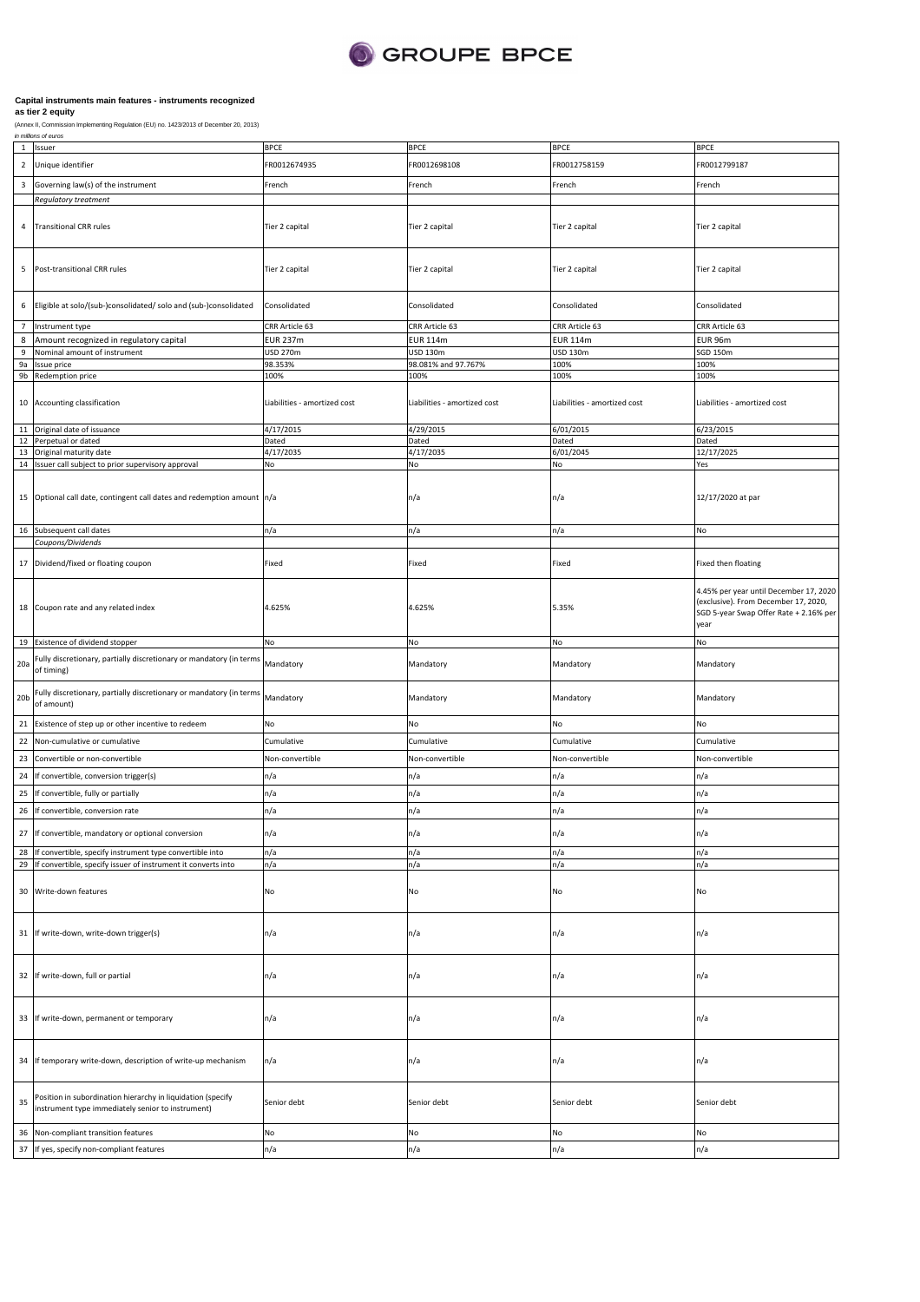

|                | in millions of euros                                                                                             |                              |                              |                              |                                                |
|----------------|------------------------------------------------------------------------------------------------------------------|------------------------------|------------------------------|------------------------------|------------------------------------------------|
|                | 1 Issuer                                                                                                         | <b>BPCE</b>                  | <b>BPCE</b>                  | <b>BPCE</b>                  | <b>BPCE</b>                                    |
| $\overline{2}$ | Unique identifier                                                                                                | FR0012674935                 | FR0012698108                 | FR0012758159                 | FR0012799187                                   |
| 3              | Governing law(s) of the instrument                                                                               | French                       | French                       | French                       | French                                         |
|                |                                                                                                                  |                              |                              |                              |                                                |
|                | Regulatory treatment                                                                                             |                              |                              |                              |                                                |
|                |                                                                                                                  |                              |                              |                              |                                                |
| $\overline{4}$ | <b>Transitional CRR rules</b>                                                                                    | Tier 2 capital               | Tier 2 capital               | Tier 2 capital               | Tier 2 capital                                 |
|                |                                                                                                                  |                              |                              |                              |                                                |
|                |                                                                                                                  |                              |                              |                              |                                                |
| 5              | Post-transitional CRR rules                                                                                      | Tier 2 capital               | Tier 2 capital               | Tier 2 capital               | Tier 2 capital                                 |
|                |                                                                                                                  |                              |                              |                              |                                                |
|                |                                                                                                                  |                              |                              |                              |                                                |
| 6              | Eligible at solo/(sub-)consolidated/ solo and (sub-)consolidated                                                 | Consolidated                 | Consolidated                 | Consolidated                 | Consolidated                                   |
| $\overline{7}$ | Instrument type                                                                                                  | CRR Article 63               | CRR Article 63               | CRR Article 63               | CRR Article 63                                 |
| 8              | Amount recognized in regulatory capital                                                                          | <b>EUR 237m</b>              | <b>EUR 114m</b>              | <b>EUR 114m</b>              | <b>EUR 96m</b>                                 |
| 9              | Nominal amount of instrument                                                                                     | USD 270m                     | <b>USD 130m</b>              | USD 130m                     | SGD 150m                                       |
| 9a             | Issue price                                                                                                      | 98.353%                      | 98.081% and 97.767%          | 100%                         | 100%                                           |
|                | 9b Redemption price                                                                                              | 100%                         | 100%                         | 100%                         | 100%                                           |
|                |                                                                                                                  |                              |                              |                              |                                                |
|                | 10 Accounting classification                                                                                     | Liabilities - amortized cost | Liabilities - amortized cost | Liabilities - amortized cost | Liabilities - amortized cost                   |
|                |                                                                                                                  |                              |                              |                              |                                                |
| 11             | Original date of issuance                                                                                        | 4/17/2015                    | 4/29/2015                    | 6/01/2015                    | 6/23/2015                                      |
|                | 12 Perpetual or dated                                                                                            | Dated                        | Dated                        | Dated                        | Dated                                          |
| 13             | Original maturity date                                                                                           | 4/17/2035                    | 4/17/2035                    | 6/01/2045                    | 12/17/2025                                     |
|                | 14 Issuer call subject to prior supervisory approval                                                             | No                           | No                           | No                           | Yes                                            |
|                |                                                                                                                  |                              |                              |                              |                                                |
|                |                                                                                                                  |                              |                              |                              |                                                |
|                | 15 Optional call date, contingent call dates and redemption amount n/a                                           |                              | n/a                          | n/a                          | 12/17/2020 at par                              |
|                |                                                                                                                  |                              |                              |                              |                                                |
|                | 16 Subsequent call dates                                                                                         | n/a                          | n/a                          | n/a                          | No                                             |
|                | Coupons/Dividends                                                                                                |                              |                              |                              |                                                |
|                |                                                                                                                  |                              |                              |                              |                                                |
|                | 17 Dividend/fixed or floating coupon                                                                             | Fixed                        | Fixed                        | Fixed                        | Fixed then floating                            |
|                |                                                                                                                  |                              |                              |                              |                                                |
|                |                                                                                                                  |                              |                              |                              | 4.45% per year until December 17, 2020         |
|                | 18 Coupon rate and any related index                                                                             | 4.625%                       | 4.625%                       | 5.35%                        | (exclusive). From December 17, 2020,           |
|                |                                                                                                                  |                              |                              |                              | SGD 5-year Swap Offer Rate + 2.16% per<br>year |
|                |                                                                                                                  |                              |                              |                              |                                                |
|                | 19 Existence of dividend stopper                                                                                 | No                           | No                           | No                           | No                                             |
|                | Fully discretionary, partially discretionary or mandatory (in terms                                              |                              |                              |                              |                                                |
| 20a            | of timing)                                                                                                       | Mandatory                    | Mandatory                    | Mandatory                    | Mandatory                                      |
|                |                                                                                                                  |                              |                              |                              |                                                |
|                | 20b Fully discretionary, partially discretionary or mandatory (in terms Mandatory<br>of amount)                  |                              | Mandatory                    | Mandatory                    | Mandatory                                      |
|                |                                                                                                                  |                              |                              |                              |                                                |
|                | 21 Existence of step up or other incentive to redeem                                                             | No                           | No                           | No                           | No                                             |
| 22             | Non-cumulative or cumulative                                                                                     | Cumulative                   | Cumulative                   | Cumulative                   | Cumulative                                     |
|                | Convertible or non-convertible                                                                                   |                              | Non-convertible              |                              |                                                |
| 23             |                                                                                                                  | Non-convertible              |                              | Non-convertible              | Non-convertible                                |
| 24             | If convertible, conversion trigger(s)                                                                            | n/a                          | n/a                          | n/a                          | n/a                                            |
| 25             | If convertible, fully or partially                                                                               | n/a                          | n/a                          | n/a                          | n/a                                            |
|                | 26 If convertible, conversion rate                                                                               | n/a                          | n/a                          | n/a                          | n/a                                            |
|                |                                                                                                                  |                              |                              |                              |                                                |
|                | 27 If convertible, mandatory or optional conversion                                                              | n/a                          | n/a                          | n/a                          | n/a                                            |
|                | 28 If convertible, specify instrument type convertible into                                                      | n/a                          | n/a                          | n/a                          | n/a                                            |
| 29             | If convertible, specify issuer of instrument it converts into                                                    | n/a                          | n/a                          | n/a                          | n/a                                            |
|                |                                                                                                                  |                              |                              |                              |                                                |
|                | 30 Write-down features                                                                                           | No                           | No                           | No                           | No                                             |
|                |                                                                                                                  |                              |                              |                              |                                                |
|                |                                                                                                                  |                              |                              |                              |                                                |
|                |                                                                                                                  |                              |                              |                              |                                                |
|                | 31 If write-down, write-down trigger(s)                                                                          | n/a                          | n/a                          | n/a                          | n/a                                            |
|                |                                                                                                                  |                              |                              |                              |                                                |
|                |                                                                                                                  |                              |                              |                              |                                                |
|                | 32 If write-down, full or partial                                                                                | n/a                          | n/a                          | n/a                          | n/a                                            |
|                |                                                                                                                  |                              |                              |                              |                                                |
|                |                                                                                                                  |                              |                              |                              |                                                |
|                | 33 If write-down, permanent or temporary                                                                         | n/a                          | n/a                          | n/a                          | n/a                                            |
|                |                                                                                                                  |                              |                              |                              |                                                |
|                |                                                                                                                  |                              |                              |                              |                                                |
|                |                                                                                                                  |                              |                              |                              |                                                |
|                | 34 If temporary write-down, description of write-up mechanism                                                    | n/a                          | n/a                          | n/a                          | n/a                                            |
|                |                                                                                                                  |                              |                              |                              |                                                |
|                |                                                                                                                  |                              |                              |                              |                                                |
| 35             | Position in subordination hierarchy in liquidation (specify<br>instrument type immediately senior to instrument) | Senior debt                  | Senior debt                  | Senior debt                  | Senior debt                                    |
|                |                                                                                                                  |                              |                              |                              |                                                |
| 36             | Non-compliant transition features                                                                                | No                           | No                           | No                           | No                                             |
|                |                                                                                                                  |                              |                              | n/a                          | n/a                                            |
|                | 37 If yes, specify non-compliant features                                                                        | n/a                          | n/a                          |                              |                                                |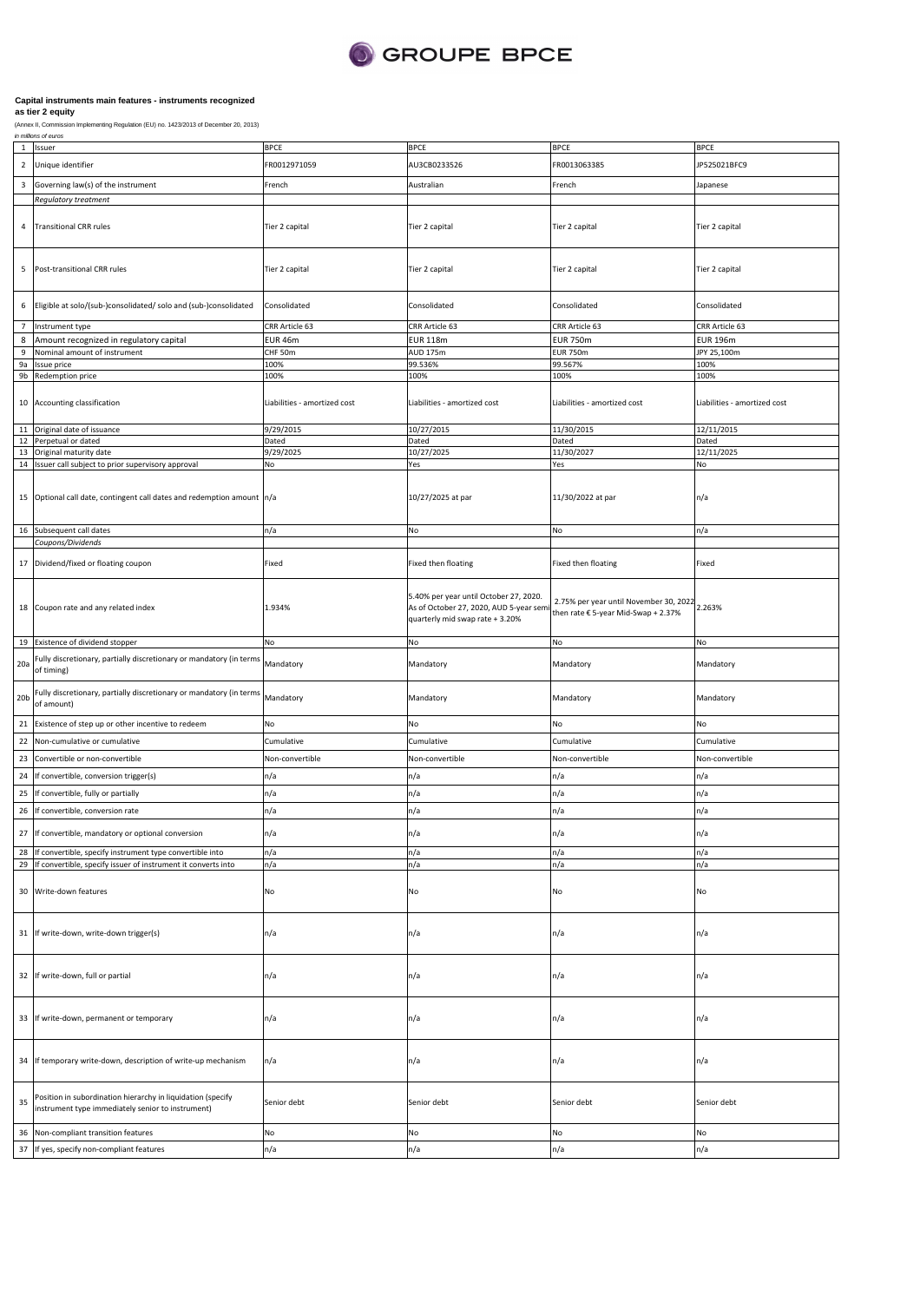

|                 | 1 Issuer                                                                           | <b>BPCE</b>                  | <b>BPCE</b>                             | <b>BPCE</b>                                                                          | <b>BPCE</b>                  |
|-----------------|------------------------------------------------------------------------------------|------------------------------|-----------------------------------------|--------------------------------------------------------------------------------------|------------------------------|
| $\overline{2}$  | Unique identifier                                                                  | FR0012971059                 | AU3CB0233526                            | FR0013063385                                                                         | JP525021BFC9                 |
|                 |                                                                                    |                              |                                         |                                                                                      |                              |
|                 | 3 Governing law(s) of the instrument                                               | French                       | Australian                              | French                                                                               | Japanese                     |
|                 | Regulatory treatment                                                               |                              |                                         |                                                                                      |                              |
|                 |                                                                                    |                              |                                         |                                                                                      |                              |
| 4               | <b>Transitional CRR rules</b>                                                      | Tier 2 capital               | Tier 2 capital                          | Tier 2 capital                                                                       | Tier 2 capital               |
|                 |                                                                                    |                              |                                         |                                                                                      |                              |
|                 |                                                                                    |                              |                                         |                                                                                      |                              |
| 5               | Post-transitional CRR rules                                                        | Tier 2 capital               | Tier 2 capital                          | Tier 2 capital                                                                       | Tier 2 capital               |
|                 |                                                                                    |                              |                                         |                                                                                      |                              |
|                 |                                                                                    |                              |                                         |                                                                                      |                              |
| 6               | Eligible at solo/(sub-)consolidated/ solo and (sub-)consolidated                   | Consolidated                 | Consolidated                            | Consolidated                                                                         | Consolidated                 |
|                 |                                                                                    |                              |                                         |                                                                                      |                              |
| $\overline{7}$  | Instrument type                                                                    | CRR Article 63               | CRR Article 63                          | CRR Article 63                                                                       | CRR Article 63               |
| 8               | Amount recognized in regulatory capital                                            | EUR 46m                      | <b>EUR 118m</b>                         | <b>EUR 750m</b>                                                                      | <b>EUR 196m</b>              |
| 9<br><b>9a</b>  | Nominal amount of instrument<br>Issue price                                        | CHF 50m<br>100%              | <b>AUD 175m</b><br>99.536%              | <b>EUR 750m</b><br>99.567%                                                           | JPY 25,100m<br>100%          |
|                 | 9b Redemption price                                                                | 100%                         | 100%                                    | 100%                                                                                 | 100%                         |
|                 |                                                                                    |                              |                                         |                                                                                      |                              |
|                 | 10 Accounting classification                                                       | Liabilities - amortized cost | Liabilities - amortized cost            | Liabilities - amortized cost                                                         | Liabilities - amortized cost |
|                 |                                                                                    |                              |                                         |                                                                                      |                              |
|                 | 11 Original date of issuance                                                       | 9/29/2015                    | 10/27/2015                              | 11/30/2015                                                                           | 12/11/2015                   |
|                 | 12 Perpetual or dated                                                              | Dated                        | Dated                                   | Dated                                                                                | Dated                        |
|                 | 13 Original maturity date                                                          | 9/29/2025                    | 10/27/2025                              | 11/30/2027                                                                           | 12/11/2025                   |
|                 | 14 Issuer call subject to prior supervisory approval                               | No                           | Yes                                     | Yes                                                                                  | No                           |
|                 |                                                                                    |                              |                                         |                                                                                      |                              |
|                 |                                                                                    |                              |                                         |                                                                                      |                              |
|                 | 15 Optional call date, contingent call dates and redemption amount n/a             |                              | 10/27/2025 at par                       | 11/30/2022 at par                                                                    | n/a                          |
|                 |                                                                                    |                              |                                         |                                                                                      |                              |
|                 | 16 Subsequent call dates                                                           | n/a                          | No                                      | No                                                                                   | n/a                          |
|                 | Coupons/Dividends                                                                  |                              |                                         |                                                                                      |                              |
|                 |                                                                                    |                              |                                         |                                                                                      |                              |
|                 | 17 Dividend/fixed or floating coupon                                               | Fixed                        | Fixed then floating                     | Fixed then floating                                                                  | Fixed                        |
|                 |                                                                                    |                              |                                         |                                                                                      |                              |
|                 |                                                                                    |                              | 5.40% per year until October 27, 2020.  |                                                                                      |                              |
|                 | 18 Coupon rate and any related index                                               | 1.934%                       | As of October 27, 2020, AUD 5-year semi | 2.75% per year until November 30, 2022 2.263%<br>then rate € 5-year Mid-Swap + 2.37% |                              |
|                 |                                                                                    |                              | quarterly mid swap rate + 3.20%         |                                                                                      |                              |
|                 |                                                                                    |                              |                                         |                                                                                      |                              |
|                 | 19 Existence of dividend stopper                                                   | No                           | No                                      | No                                                                                   | No                           |
|                 | 20a Fully discretionary, partially discretionary or mandatory (in terms of timing) | Mandatory                    | Mandatory                               | Mandatory                                                                            | Mandatory                    |
|                 |                                                                                    |                              |                                         |                                                                                      |                              |
|                 | Fully discretionary, partially discretionary or mandatory (in terms Mandatory      |                              |                                         |                                                                                      |                              |
| 20 <sub>b</sub> | of amount)                                                                         |                              | Mandatory                               | Mandatory                                                                            | Mandatory                    |
|                 |                                                                                    |                              |                                         |                                                                                      |                              |
| 21              | Existence of step up or other incentive to redeem                                  | No                           | No                                      | No                                                                                   | No                           |
|                 | 22 Non-cumulative or cumulative                                                    | Cumulative                   | Cumulative                              | Cumulative                                                                           | Cumulative                   |
| 23              | Convertible or non-convertible                                                     | Non-convertible              | Non-convertible                         | Non-convertible                                                                      | Non-convertible              |
|                 |                                                                                    |                              |                                         |                                                                                      |                              |
| 24              | If convertible, conversion trigger(s)                                              | n/a                          | n/a                                     | n/a                                                                                  | n/a                          |
| 25              | If convertible, fully or partially                                                 | n/a                          | n/a                                     | n/a                                                                                  | n/a                          |
|                 | 26 If convertible, conversion rate                                                 | n/a                          | n/a                                     | n/a                                                                                  | n/a                          |
|                 |                                                                                    |                              |                                         |                                                                                      |                              |
|                 | 27 If convertible, mandatory or optional conversion                                | n/a                          | n/a                                     | n/a                                                                                  | n/a                          |
|                 | 28 If convertible, specify instrument type convertible into                        | n/a                          | n/a                                     | n/a                                                                                  | n/a                          |
|                 | 29 If convertible, specify issuer of instrument it converts into                   | n/a                          | n/a                                     | n/a                                                                                  | n/a                          |
|                 |                                                                                    |                              |                                         |                                                                                      |                              |
|                 | 30 Write-down features                                                             | No                           | No                                      | No                                                                                   | No                           |
|                 |                                                                                    |                              |                                         |                                                                                      |                              |
|                 |                                                                                    |                              |                                         |                                                                                      |                              |
|                 | 31 If write-down, write-down trigger(s)                                            | n/a                          | n/a                                     | n/a                                                                                  | n/a                          |
|                 |                                                                                    |                              |                                         |                                                                                      |                              |
|                 |                                                                                    |                              |                                         |                                                                                      |                              |
|                 |                                                                                    |                              |                                         |                                                                                      |                              |
|                 | 32 If write-down, full or partial                                                  | n/a                          | n/a                                     | n/a                                                                                  | n/a                          |
|                 |                                                                                    |                              |                                         |                                                                                      |                              |
|                 |                                                                                    |                              |                                         |                                                                                      |                              |
|                 | 33 If write-down, permanent or temporary                                           | n/a                          | n/a                                     | n/a                                                                                  | n/a                          |
|                 |                                                                                    |                              |                                         |                                                                                      |                              |
|                 |                                                                                    |                              |                                         |                                                                                      |                              |
|                 | 34 If temporary write-down, description of write-up mechanism                      | n/a                          | n/a                                     | n/a                                                                                  | n/a                          |
|                 |                                                                                    |                              |                                         |                                                                                      |                              |
|                 |                                                                                    |                              |                                         |                                                                                      |                              |
| 35              | Position in subordination hierarchy in liquidation (specify                        | Senior debt                  | Senior debt                             | Senior debt                                                                          | Senior debt                  |
|                 | instrument type immediately senior to instrument)                                  |                              |                                         |                                                                                      |                              |
| 36              | Non-compliant transition features                                                  | No                           | No                                      | No                                                                                   | No                           |
|                 |                                                                                    |                              |                                         |                                                                                      |                              |
| 37              | If yes, specify non-compliant features                                             | n/a                          | n/a                                     | n/a                                                                                  | n/a                          |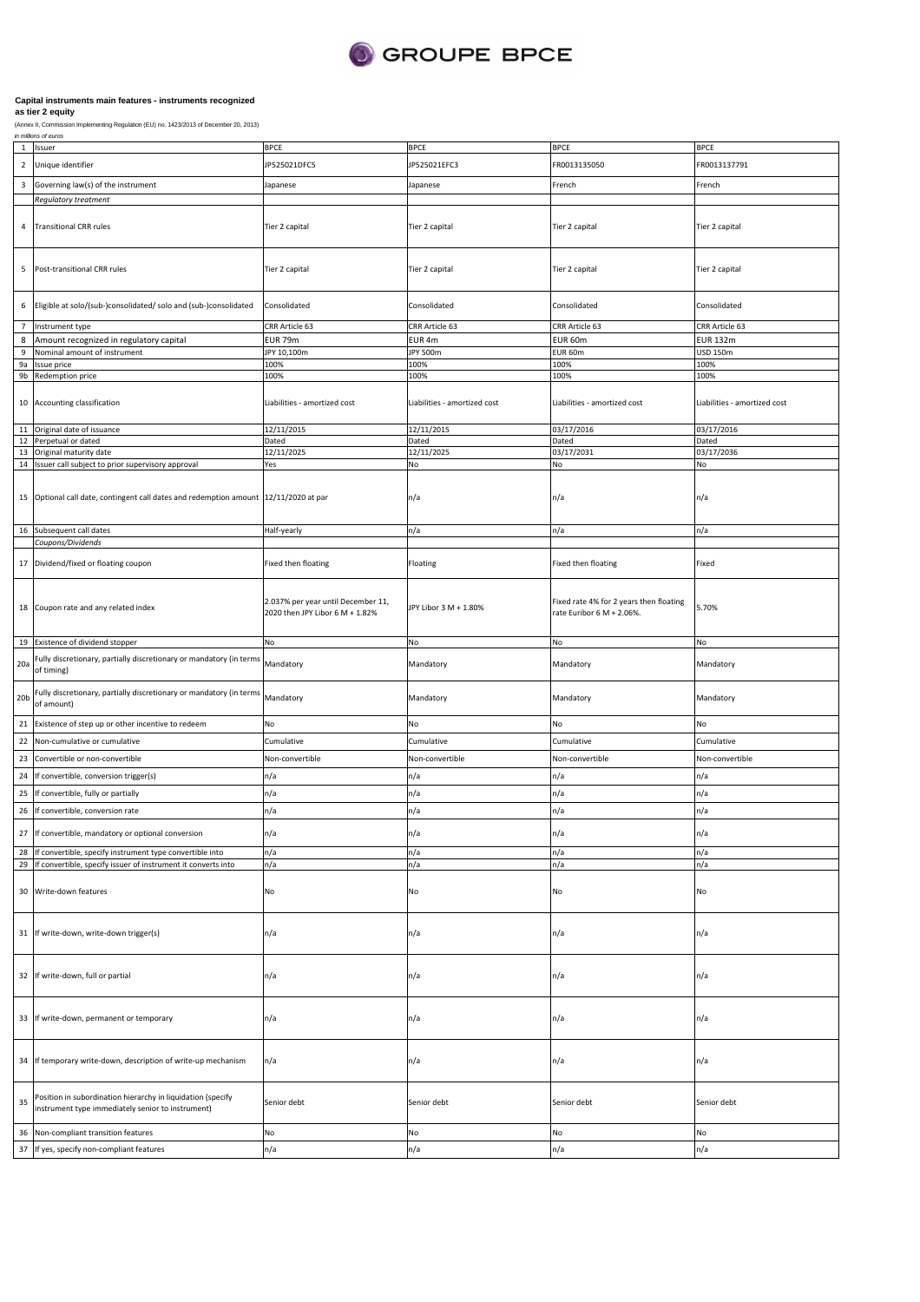

|                 | 1 Issuer                                                                                                         | <b>BPCE</b>                                                           | <b>BPCE</b>                  | <b>BPCE</b>                                                          | <b>BPCE</b>                  |
|-----------------|------------------------------------------------------------------------------------------------------------------|-----------------------------------------------------------------------|------------------------------|----------------------------------------------------------------------|------------------------------|
| $\overline{2}$  | Unique identifier                                                                                                | JP525021DFC5                                                          | JP525021EFC3                 | FR0013135050                                                         | FR0013137791                 |
|                 |                                                                                                                  |                                                                       |                              |                                                                      |                              |
| $\mathbf{3}$    | Governing law(s) of the instrument                                                                               | Japanese                                                              | Japanese                     | French                                                               | French                       |
|                 | Regulatory treatment                                                                                             |                                                                       |                              |                                                                      |                              |
| 4               | <b>Transitional CRR rules</b>                                                                                    | Tier 2 capital                                                        | Tier 2 capital               | Tier 2 capital                                                       | Tier 2 capital               |
| 5               | Post-transitional CRR rules                                                                                      | Tier 2 capital                                                        | Tier 2 capital               | Tier 2 capital                                                       | Tier 2 capital               |
| 6               | Eligible at solo/(sub-)consolidated/ solo and (sub-)consolidated                                                 | Consolidated                                                          | Consolidated                 | Consolidated                                                         | Consolidated                 |
| $\overline{7}$  | Instrument type                                                                                                  | CRR Article 63                                                        | CRR Article 63               | CRR Article 63                                                       | CRR Article 63               |
| 8               | Amount recognized in regulatory capital                                                                          | <b>EUR 79m</b>                                                        | EUR 4m                       | EUR 60m                                                              | <b>EUR 132m</b>              |
| 9               | Nominal amount of instrument                                                                                     | JPY 10,100m                                                           | JPY 500m                     | EUR 60m                                                              | <b>USD 150m</b>              |
| 9a              | Issue price                                                                                                      | 100%<br>100%                                                          | 100%                         | 100%<br>100%                                                         | 100%<br>100%                 |
|                 | 9b Redemption price                                                                                              |                                                                       | 100%                         |                                                                      |                              |
|                 | 10 Accounting classification                                                                                     | Liabilities - amortized cost                                          | Liabilities - amortized cost | Liabilities - amortized cost                                         | Liabilities - amortized cost |
| 11              | Original date of issuance                                                                                        | 12/11/2015                                                            | 12/11/2015                   | 03/17/2016                                                           | 03/17/2016                   |
|                 | 12 Perpetual or dated                                                                                            | Dated                                                                 | Dated                        | Dated                                                                | Dated                        |
| 13              | Original maturity date<br>14 Issuer call subject to prior supervisory approval                                   | 12/11/2025<br>Yes                                                     | 12/11/2025<br>No             | 03/17/2031<br>No                                                     | 03/17/2036<br>No             |
|                 |                                                                                                                  |                                                                       |                              |                                                                      |                              |
|                 | 15 Optional call date, contingent call dates and redemption amount 12/11/2020 at par                             |                                                                       | n/a                          | n/a                                                                  | n/a                          |
|                 | 16 Subsequent call dates                                                                                         | Half-yearly                                                           | n/a                          | n/a                                                                  | n/a                          |
|                 | Coupons/Dividends                                                                                                |                                                                       |                              |                                                                      |                              |
|                 | 17 Dividend/fixed or floating coupon                                                                             | Fixed then floating                                                   | Floating                     | Fixed then floating                                                  | Fixed                        |
|                 | 18 Coupon rate and any related index                                                                             | 2.037% per year until December 11,<br>2020 then JPY Libor 6 M + 1.82% | JPY Libor 3 M + 1.80%        | Fixed rate 4% for 2 years then floating<br>rate Euribor 6 M + 2.06%. | 5.70%                        |
|                 | 19 Existence of dividend stopper                                                                                 | No                                                                    | No                           | No                                                                   | No                           |
| 20a             | Fully discretionary, partially discretionary or mandatory (in terms<br>of timing)                                | Mandatory                                                             | Mandatory                    | Mandatory                                                            | Mandatory                    |
| 20 <sub>b</sub> | Fully discretionary, partially discretionary or mandatory (in terms<br>of amount)                                | Mandatory                                                             | Mandatory                    | Mandatory                                                            | Mandatory                    |
|                 | 21 Existence of step up or other incentive to redeem                                                             | No                                                                    | No                           | No                                                                   | No                           |
|                 | 22 Non-cumulative or cumulative                                                                                  | Cumulative                                                            | Cumulative                   | Cumulative                                                           | Cumulative                   |
| 23              | Convertible or non-convertible                                                                                   | Non-convertible                                                       | Non-convertible              | Non-convertible                                                      | Non-convertible              |
|                 |                                                                                                                  |                                                                       |                              |                                                                      |                              |
| 24              | If convertible, conversion trigger(s)                                                                            | n/a                                                                   | n/a                          | n/a                                                                  | n/a                          |
| 25              | If convertible, fully or partially                                                                               | n/a                                                                   | n/a                          | n/a                                                                  | n/a                          |
| 26              | If convertible, conversion rate                                                                                  | n/a                                                                   | n/a                          | n/a                                                                  | n/a                          |
|                 | 27 If convertible, mandatory or optional conversion                                                              | ٦/a                                                                   | ı/a                          | ٦/a                                                                  | ٦/a                          |
|                 | 28 If convertible, specify instrument type convertible into                                                      | n/a                                                                   | n/a                          | n/a                                                                  | n/a                          |
|                 | 29 If convertible, specify issuer of instrument it converts into                                                 | n/a                                                                   | n/a                          | n/a                                                                  | n/a                          |
|                 | 30 Write-down features                                                                                           | No                                                                    | No                           | No                                                                   | No                           |
|                 | 31 If write-down, write-down trigger(s)                                                                          | n/a                                                                   | n/a                          | n/a                                                                  | n/a                          |
|                 | 32 If write-down, full or partial                                                                                | n/a                                                                   | n/a                          | n/a                                                                  | n/a                          |
|                 | 33 If write-down, permanent or temporary                                                                         | n/a                                                                   | n/a                          | n/a                                                                  | n/a                          |
|                 | 34 If temporary write-down, description of write-up mechanism                                                    | n/a                                                                   | n/a                          | n/a                                                                  | n/a                          |
| 35              | Position in subordination hierarchy in liquidation (specify<br>instrument type immediately senior to instrument) | Senior debt                                                           | Senior debt                  | Senior debt                                                          | Senior debt                  |
| 36              | Non-compliant transition features                                                                                | No                                                                    | No                           | No                                                                   | No                           |
| 37              | If yes, specify non-compliant features                                                                           | n/a                                                                   | n/a                          | n/a                                                                  | n/a                          |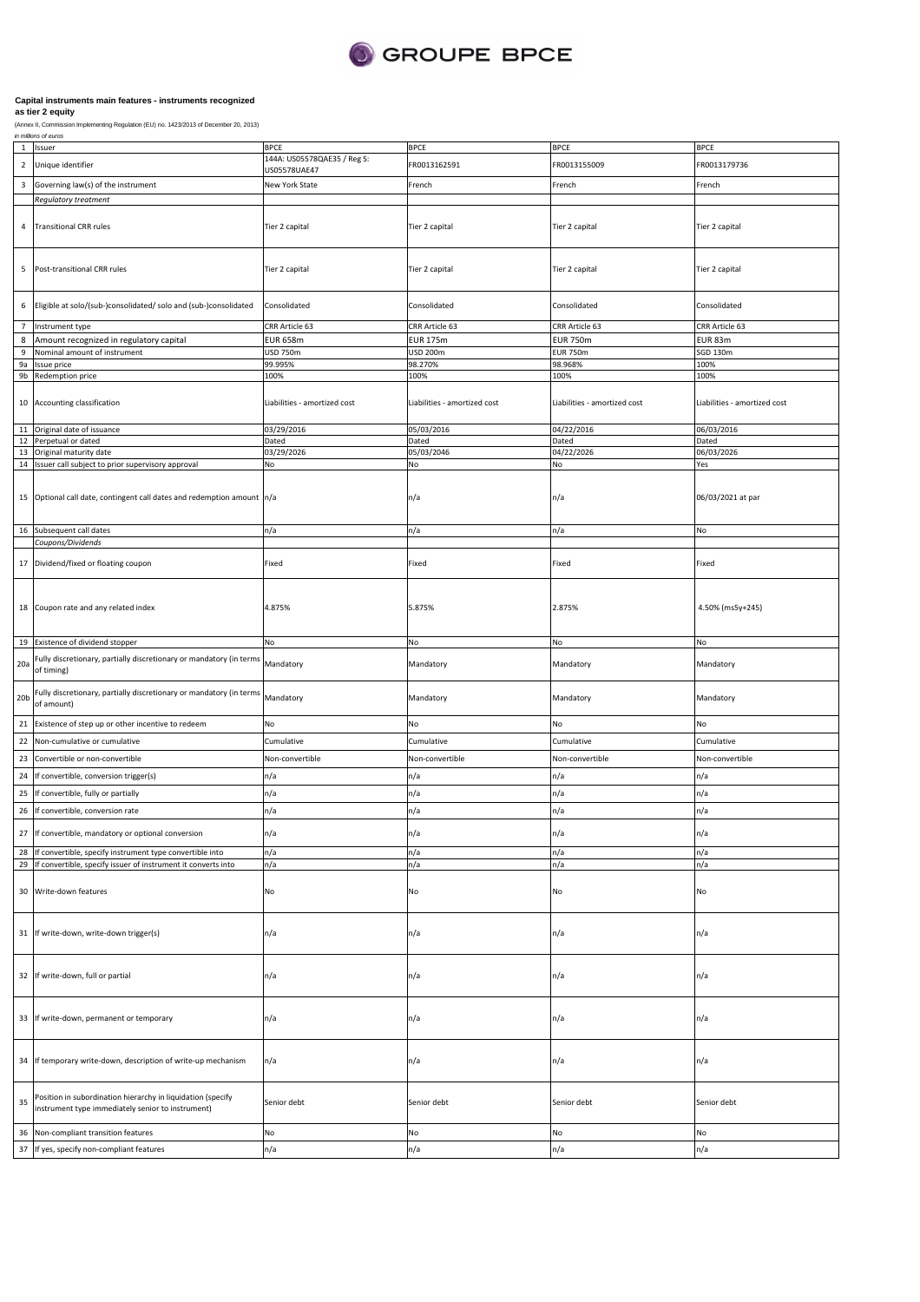

|                 | in millions of euros                                                              | <b>BPCE</b>                                 |                              |                              |                              |
|-----------------|-----------------------------------------------------------------------------------|---------------------------------------------|------------------------------|------------------------------|------------------------------|
| $\mathbf{1}$    | Issuer                                                                            |                                             | <b>BPCE</b>                  | <b>BPCE</b>                  | <b>BPCE</b>                  |
| $\overline{2}$  | Unique identifier                                                                 | 144A: US05578QAE35 / Reg S:<br>US05578UAE47 | FR0013162591                 | FR0013155009                 | FR0013179736                 |
|                 |                                                                                   |                                             |                              |                              |                              |
| 3               | Governing law(s) of the instrument                                                | New York State                              | French                       | French                       | French                       |
|                 | Regulatory treatment                                                              |                                             |                              |                              |                              |
|                 |                                                                                   |                                             |                              |                              |                              |
| $\sqrt{4}$      | <b>Transitional CRR rules</b>                                                     | Tier 2 capital                              | Tier 2 capital               | Tier 2 capital               | Tier 2 capital               |
|                 |                                                                                   |                                             |                              |                              |                              |
|                 |                                                                                   |                                             |                              |                              |                              |
|                 |                                                                                   |                                             |                              |                              |                              |
| 5               | Post-transitional CRR rules                                                       | Tier 2 capital                              | Tier 2 capital               | Tier 2 capital               | Tier 2 capital               |
|                 |                                                                                   |                                             |                              |                              |                              |
|                 |                                                                                   |                                             |                              |                              |                              |
| 6               | Eligible at solo/(sub-)consolidated/ solo and (sub-)consolidated                  | Consolidated                                | Consolidated                 | Consolidated                 | Consolidated                 |
|                 |                                                                                   |                                             |                              |                              |                              |
| $\overline{7}$  | Instrument type                                                                   | CRR Article 63                              | CRR Article 63               | CRR Article 63               | CRR Article 63               |
| 8               | Amount recognized in regulatory capital                                           | <b>EUR 658m</b>                             | <b>EUR 175m</b>              | <b>EUR 750m</b>              | EUR 83m                      |
| 9               | Nominal amount of instrument                                                      | USD 750m                                    | <b>USD 200m</b>              | <b>EUR 750m</b>              | <b>SGD 130m</b>              |
| 9a              | Issue price                                                                       | 99.995%                                     | 98.270%                      | 98.968%                      | 100%                         |
|                 | 9b Redemption price                                                               | 100%                                        | 100%                         | 100%                         | 100%                         |
|                 |                                                                                   |                                             |                              |                              |                              |
|                 |                                                                                   |                                             |                              |                              |                              |
|                 | 10 Accounting classification                                                      | Liabilities - amortized cost                | Liabilities - amortized cost | Liabilities - amortized cost | Liabilities - amortized cost |
|                 |                                                                                   |                                             |                              |                              |                              |
| 11              | Original date of issuance                                                         | 03/29/2016                                  | 05/03/2016                   | 04/22/2016                   | 06/03/2016                   |
| 12              | Perpetual or dated                                                                | Dated                                       | Dated                        | Dated                        | Dated                        |
| 13              | Original maturity date                                                            | 03/29/2026                                  | 05/03/2046                   | 04/22/2026                   | 06/03/2026                   |
|                 | 14 Issuer call subject to prior supervisory approval                              | No                                          | No                           | No                           | Yes                          |
|                 |                                                                                   |                                             |                              |                              |                              |
|                 |                                                                                   |                                             |                              |                              |                              |
|                 | 15 Optional call date, contingent call dates and redemption amount n/a            |                                             | n/a                          | n/a                          | 06/03/2021 at par            |
|                 |                                                                                   |                                             |                              |                              |                              |
|                 |                                                                                   |                                             |                              |                              |                              |
|                 | 16 Subsequent call dates                                                          | n/a                                         | n/a                          | n/a                          | No                           |
|                 | Coupons/Dividends                                                                 |                                             |                              |                              |                              |
|                 | 17 Dividend/fixed or floating coupon                                              | Fixed                                       | Fixed                        | Fixed                        | Fixed                        |
|                 |                                                                                   |                                             |                              |                              |                              |
|                 |                                                                                   |                                             |                              |                              |                              |
|                 |                                                                                   |                                             |                              |                              |                              |
|                 | 18 Coupon rate and any related index                                              | 4.875%                                      | 5.875%                       | 2.875%                       | 4.50% (ms5y+245)             |
|                 |                                                                                   |                                             |                              |                              |                              |
|                 |                                                                                   |                                             |                              |                              |                              |
|                 | 19 Existence of dividend stopper                                                  | No                                          | No                           | No                           | No                           |
|                 |                                                                                   |                                             |                              |                              |                              |
| 20a             | Fully discretionary, partially discretionary or mandatory (in terms               | Mandatory                                   | Mandatory                    | Mandatory                    | Mandatory                    |
|                 | of timing)                                                                        |                                             |                              |                              |                              |
|                 |                                                                                   |                                             |                              |                              |                              |
| 20 <sub>b</sub> | Fully discretionary, partially discretionary or mandatory (in terms<br>of amount) | Mandatory                                   | Mandatory                    | Mandatory                    | Mandatory                    |
|                 |                                                                                   |                                             |                              |                              |                              |
| 21              | Existence of step up or other incentive to redeem                                 | No                                          | No                           | No                           | No                           |
|                 |                                                                                   |                                             |                              |                              |                              |
| 22              | Non-cumulative or cumulative                                                      | Cumulative                                  | Cumulative                   | Cumulative                   | Cumulative                   |
| 23              | Convertible or non-convertible                                                    | Non-convertible                             | Non-convertible              | Non-convertible              | Non-convertible              |
|                 |                                                                                   |                                             |                              |                              |                              |
| 24              | If convertible, conversion trigger(s)                                             | n/a                                         | n/a                          | n/a                          | n/a                          |
| 25              | If convertible, fully or partially                                                | n/a                                         | n/a                          | n/a                          | n/a                          |
|                 |                                                                                   |                                             |                              |                              |                              |
| 26              | If convertible, conversion rate                                                   | n/a                                         | n/a                          | n/a                          | n/a                          |
|                 | 27 If convertible, mandatory or optional conversion                               |                                             |                              |                              | n/a                          |
|                 |                                                                                   | n/a                                         | n/a                          | n/a                          |                              |
|                 | 28 If convertible, specify instrument type convertible into                       | n/a                                         | n/a                          | n/a                          | n/a                          |
| 29              | If convertible, specify issuer of instrument it converts into                     | n/a                                         | n/a                          | n/a                          | n/a                          |
|                 |                                                                                   |                                             |                              |                              |                              |
|                 | 30 Write-down features                                                            | No                                          | No                           | No                           | No                           |
|                 |                                                                                   |                                             |                              |                              |                              |
|                 |                                                                                   |                                             |                              |                              |                              |
|                 |                                                                                   |                                             |                              |                              |                              |
|                 | 31 If write-down, write-down trigger(s)                                           | n/a                                         | n/a                          | n/a                          | n/a                          |
|                 |                                                                                   |                                             |                              |                              |                              |
|                 |                                                                                   |                                             |                              |                              |                              |
|                 |                                                                                   |                                             |                              |                              |                              |
|                 | 32 If write-down, full or partial                                                 | n/a                                         | n/a                          | n/a                          | n/a                          |
|                 |                                                                                   |                                             |                              |                              |                              |
|                 |                                                                                   |                                             |                              |                              |                              |
|                 | 33 If write-down, permanent or temporary                                          | n/a                                         | n/a                          | n/a                          | n/a                          |
|                 |                                                                                   |                                             |                              |                              |                              |
|                 |                                                                                   |                                             |                              |                              |                              |
|                 |                                                                                   |                                             |                              |                              |                              |
|                 | 34 If temporary write-down, description of write-up mechanism                     | n/a                                         | n/a                          | n/a                          | n/a                          |
|                 |                                                                                   |                                             |                              |                              |                              |
|                 |                                                                                   |                                             |                              |                              |                              |
|                 | Position in subordination hierarchy in liquidation (specify                       |                                             |                              |                              |                              |
| 35              | instrument type immediately senior to instrument)                                 | Senior debt                                 | Senior debt                  | Senior debt                  | Senior debt                  |
|                 |                                                                                   |                                             |                              |                              |                              |
| 36              | Non-compliant transition features                                                 | No                                          | No                           | No                           | No                           |
|                 |                                                                                   |                                             |                              |                              |                              |
| 37              | If yes, specify non-compliant features                                            | n/a                                         | n/a                          | n/a                          | n/a                          |